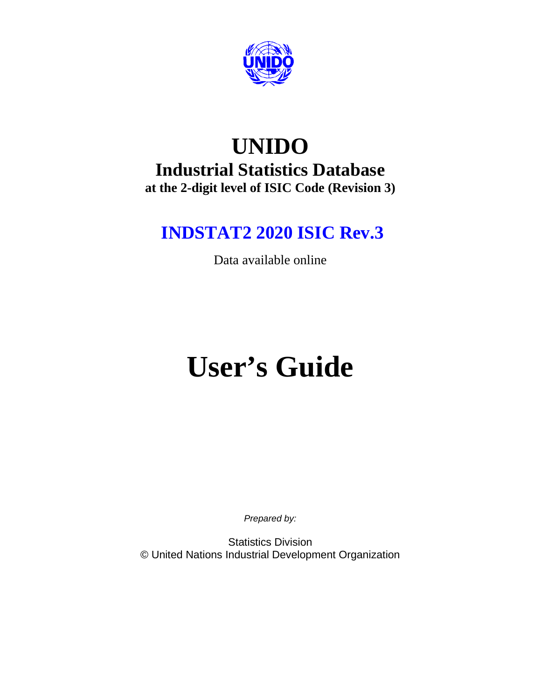

# **UNIDO Industrial Statistics Database at the 2-digit level of ISIC Code (Revision 3)**

# **INDSTAT2 2020 ISIC Rev.3**

Data available online

# **User's Guide**

*Prepared by:* 

Statistics Division © United Nations Industrial Development Organization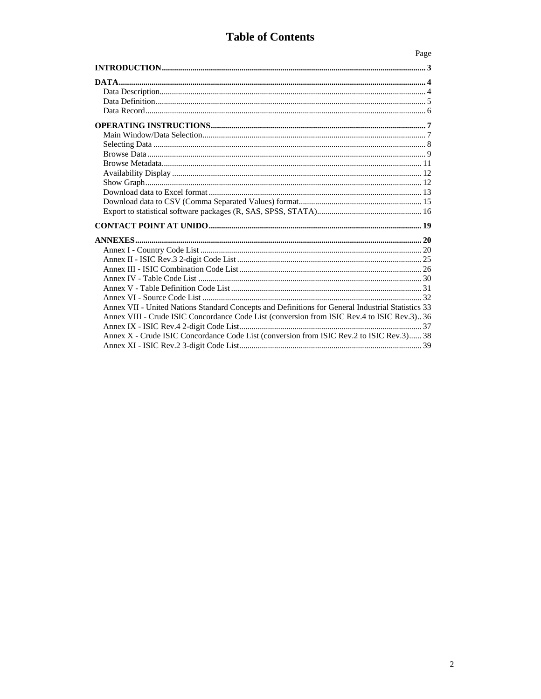## **Table of Contents**

| Page                                                                                              |  |
|---------------------------------------------------------------------------------------------------|--|
|                                                                                                   |  |
|                                                                                                   |  |
|                                                                                                   |  |
|                                                                                                   |  |
|                                                                                                   |  |
|                                                                                                   |  |
|                                                                                                   |  |
|                                                                                                   |  |
|                                                                                                   |  |
|                                                                                                   |  |
|                                                                                                   |  |
|                                                                                                   |  |
|                                                                                                   |  |
|                                                                                                   |  |
|                                                                                                   |  |
|                                                                                                   |  |
|                                                                                                   |  |
|                                                                                                   |  |
|                                                                                                   |  |
|                                                                                                   |  |
|                                                                                                   |  |
|                                                                                                   |  |
|                                                                                                   |  |
| Annex VII - United Nations Standard Concepts and Definitions for General Industrial Statistics 33 |  |
| Annex VIII - Crude ISIC Concordance Code List (conversion from ISIC Rev.4 to ISIC Rev.3) 36       |  |
|                                                                                                   |  |
| Annex X - Crude ISIC Concordance Code List (conversion from ISIC Rev.2 to ISIC Rev.3) 38          |  |
|                                                                                                   |  |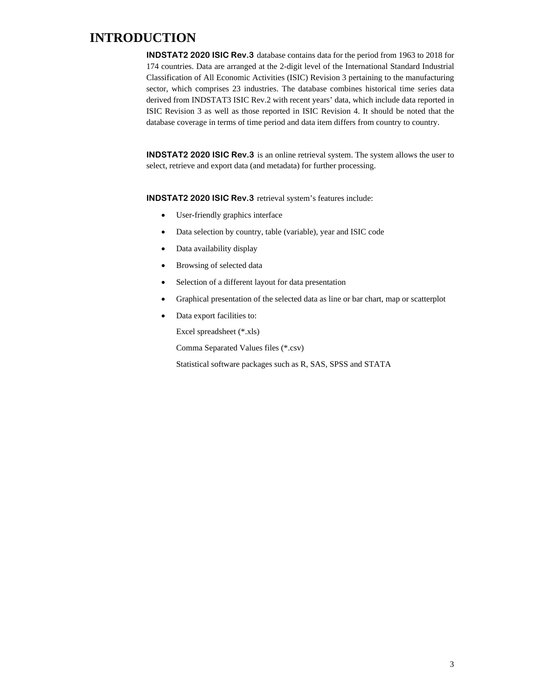### **INTRODUCTION**

**INDSTAT2 2020 ISIC Rev.3** database contains data for the period from 1963 to 2018 for 174 countries. Data are arranged at the 2-digit level of the International Standard Industrial Classification of All Economic Activities (ISIC) Revision 3 pertaining to the manufacturing sector, which comprises 23 industries. The database combines historical time series data derived from INDSTAT3 ISIC Rev.2 with recent years' data, which include data reported in ISIC Revision 3 as well as those reported in ISIC Revision 4. It should be noted that the database coverage in terms of time period and data item differs from country to country.

**INDSTAT2 2020 ISIC Rev.3** is an online retrieval system. The system allows the user to select, retrieve and export data (and metadata) for further processing.

**INDSTAT2 2020 ISIC Rev.3** retrieval system's features include:

- User-friendly graphics interface
- Data selection by country, table (variable), year and ISIC code
- Data availability display
- Browsing of selected data
- Selection of a different layout for data presentation
- Graphical presentation of the selected data as line or bar chart, map or scatterplot
- Data export facilities to:

Excel spreadsheet (\*.xls)

Comma Separated Values files (\*.csv)

Statistical software packages such as R, SAS, SPSS and STATA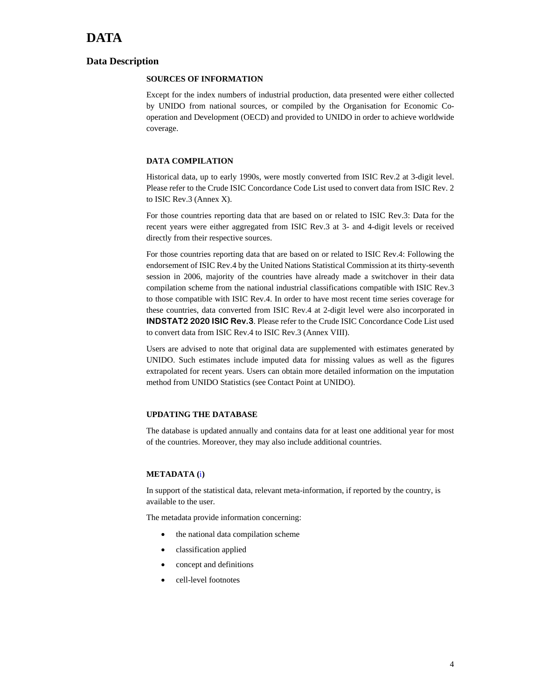## **DATA**

#### **Data Description**

#### **SOURCES OF INFORMATION**

Except for the index numbers of industrial production, data presented were either collected by UNIDO from national sources, or compiled by the Organisation for Economic Cooperation and Development (OECD) and provided to UNIDO in order to achieve worldwide coverage.

#### **DATA COMPILATION**

Historical data, up to early 1990s, were mostly converted from ISIC Rev.2 at 3-digit level. Please refer to the Crude ISIC Concordance Code List used to convert data from ISIC Rev. 2 to ISIC Rev.3 (Annex X).

For those countries reporting data that are based on or related to ISIC Rev.3: Data for the recent years were either aggregated from ISIC Rev.3 at 3- and 4-digit levels or received directly from their respective sources.

For those countries reporting data that are based on or related to ISIC Rev.4: Following the endorsement of ISIC Rev.4 by the United Nations Statistical Commission at its thirty-seventh session in 2006, majority of the countries have already made a switchover in their data compilation scheme from the national industrial classifications compatible with ISIC Rev.3 to those compatible with ISIC Rev.4. In order to have most recent time series coverage for these countries, data converted from ISIC Rev.4 at 2-digit level were also incorporated in **INDSTAT2 2020 ISIC Rev.3**. Please refer to the Crude ISIC Concordance Code List used to convert data from ISIC Rev.4 to ISIC Rev.3 (Annex VIII).

Users are advised to note that original data are supplemented with estimates generated by UNIDO. Such estimates include imputed data for missing values as well as the figures extrapolated for recent years. Users can obtain more detailed information on the imputation method from UNIDO Statistics (see Contact Point at UNIDO).

#### **UPDATING THE DATABASE**

The database is updated annually and contains data for at least one additional year for most of the countries. Moreover, they may also include additional countries.

#### **METADATA (**i**)**

In support of the statistical data, relevant meta-information, if reported by the country, is available to the user.

The metadata provide information concerning:

- the national data compilation scheme
- classification applied
- concept and definitions
- cell-level footnotes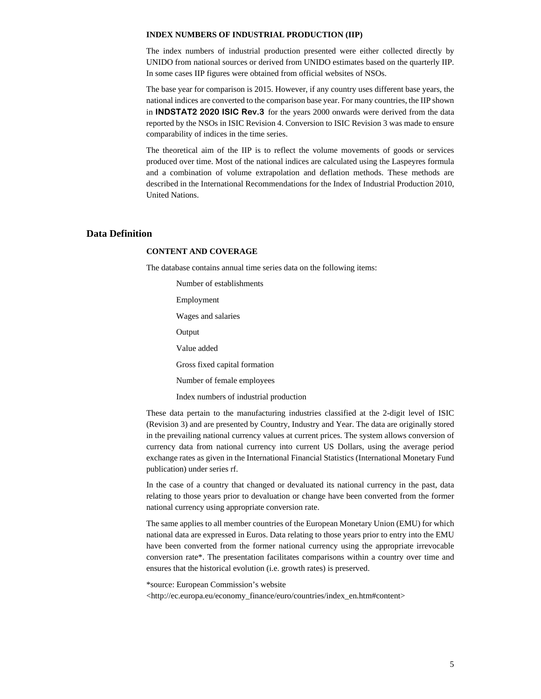#### **INDEX NUMBERS OF INDUSTRIAL PRODUCTION (IIP)**

The index numbers of industrial production presented were either collected directly by UNIDO from national sources or derived from UNIDO estimates based on the quarterly IIP. In some cases IIP figures were obtained from official websites of NSOs.

The base year for comparison is 2015. However, if any country uses different base years, the national indices are converted to the comparison base year. For many countries, the IIP shown in **INDSTAT2 2020 ISIC Rev.3** for the years 2000 onwards were derived from the data reported by the NSOs in ISIC Revision 4. Conversion to ISIC Revision 3 was made to ensure comparability of indices in the time series.

The theoretical aim of the IIP is to reflect the volume movements of goods or services produced over time. Most of the national indices are calculated using the Laspeyres formula and a combination of volume extrapolation and deflation methods. These methods are described in the International Recommendations for the Index of Industrial Production 2010, United Nations.

#### **Data Definition**

#### **CONTENT AND COVERAGE**

The database contains annual time series data on the following items:

Number of establishments Employment Wages and salaries Output Value added Gross fixed capital formation Number of female employees Index numbers of industrial production

These data pertain to the manufacturing industries classified at the 2-digit level of ISIC (Revision 3) and are presented by Country, Industry and Year. The data are originally stored in the prevailing national currency values at current prices. The system allows conversion of currency data from national currency into current US Dollars, using the average period exchange rates as given in the International Financial Statistics (International Monetary Fund publication) under series rf.

In the case of a country that changed or devaluated its national currency in the past, data relating to those years prior to devaluation or change have been converted from the former national currency using appropriate conversion rate.

The same applies to all member countries of the European Monetary Union (EMU) for which national data are expressed in Euros. Data relating to those years prior to entry into the EMU have been converted from the former national currency using the appropriate irrevocable conversion rate\*. The presentation facilitates comparisons within a country over time and ensures that the historical evolution (i.e. growth rates) is preserved.

\*source: European Commission's website

<http://ec.europa.eu/economy\_finance/euro/countries/index\_en.htm#content>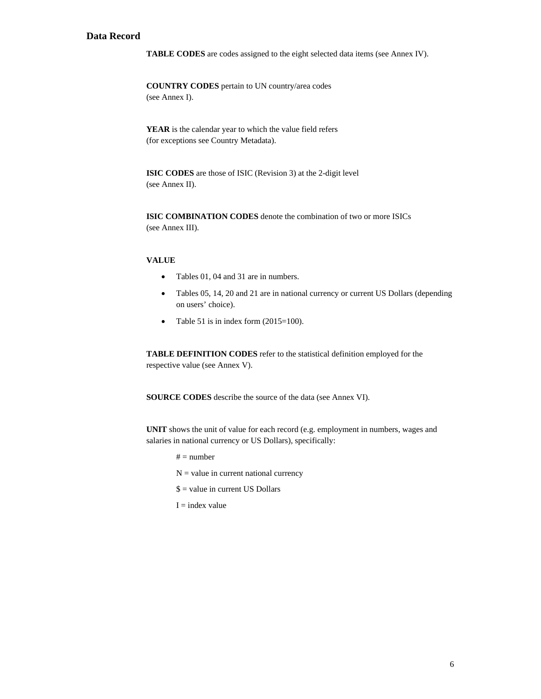#### **Data Record**

**TABLE CODES** are codes assigned to the eight selected data items (see Annex IV).

**COUNTRY CODES** pertain to UN country/area codes (see Annex I).

**YEAR** is the calendar year to which the value field refers (for exceptions see Country Metadata).

**ISIC CODES** are those of ISIC (Revision 3) at the 2-digit level (see Annex II).

**ISIC COMBINATION CODES** denote the combination of two or more ISICs (see Annex III).

#### **VALUE**

- Tables 01, 04 and 31 are in numbers.
- Tables 05, 14, 20 and 21 are in national currency or current US Dollars (depending on users' choice).
- Table 51 is in index form  $(2015=100)$ .

**TABLE DEFINITION CODES** refer to the statistical definition employed for the respective value (see Annex V).

**SOURCE CODES** describe the source of the data (see Annex VI).

**UNIT** shows the unit of value for each record (e.g. employment in numbers, wages and salaries in national currency or US Dollars), specifically:

 $# =$  number

 $N =$  value in current national currency

- $$ =$  value in current US Dollars
- $I = index value$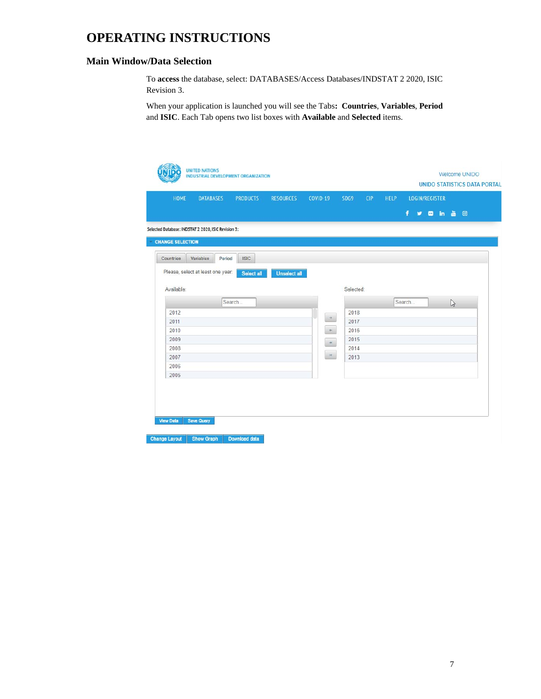## **OPERATING INSTRUCTIONS**

#### **Main Window/Data Selection**

To **access** the database, select: DATABASES/Access Databases/INDSTAT 2 2020, ISIC Revision 3.

When your application is launched you will see the Tabs**: Countries**, **Variables**, **Period** and **ISIC**. Each Tab opens two list boxes with **Available** and **Selected** items.

| HOME                    | <b>DATABASES</b>                                    | <b>PRODUCTS</b>       | <b>RESOURCES</b>    | <b>COVID-19</b>                       | <b>SDG9</b> | <b>CIP</b> | <b>HELP</b> |        | LOGIN/REGISTER |                            |              |  |
|-------------------------|-----------------------------------------------------|-----------------------|---------------------|---------------------------------------|-------------|------------|-------------|--------|----------------|----------------------------|--------------|--|
|                         |                                                     |                       |                     |                                       |             |            |             |        |                | f <b>y m</b> in <b>a</b> 0 |              |  |
| <b>CHANGE SELECTION</b> | Selected Database: INDSTAT 2 2020, ISIC Revision 3: |                       |                     |                                       |             |            |             |        |                |                            |              |  |
| <b>Countries</b>        | Variables                                           | <b>ISIC</b><br>Period |                     |                                       |             |            |             |        |                |                            |              |  |
|                         | Please, select at least one year:                   |                       |                     |                                       |             |            |             |        |                |                            |              |  |
|                         |                                                     | Select all            | <b>Unselect all</b> |                                       |             |            |             |        |                |                            |              |  |
| Available:              |                                                     |                       |                     |                                       | Selected:   |            |             |        |                |                            |              |  |
|                         |                                                     | Search                |                     |                                       |             |            |             | Search |                |                            | $\mathbb{S}$ |  |
| 2012                    |                                                     |                       |                     |                                       | 2018        |            |             |        |                |                            |              |  |
| 2011                    |                                                     |                       |                     | $\rightarrow$                         | 2017        |            |             |        |                |                            |              |  |
| 2010                    |                                                     |                       |                     | $\leftarrow$                          | 2016        |            |             |        |                |                            |              |  |
| 2009                    |                                                     |                       |                     | $\rightarrow$                         | 2015        |            |             |        |                |                            |              |  |
| 2008                    |                                                     |                       |                     |                                       | 2014        |            |             |        |                |                            |              |  |
| 2007                    |                                                     |                       |                     | $\left\vert \leftarrow \right\rangle$ | 2013        |            |             |        |                |                            |              |  |
| 2006                    |                                                     |                       |                     |                                       |             |            |             |        |                |                            |              |  |
| 2005                    |                                                     |                       |                     |                                       |             |            |             |        |                |                            |              |  |
|                         |                                                     |                       |                     |                                       |             |            |             |        |                |                            |              |  |
|                         |                                                     |                       |                     |                                       |             |            |             |        |                |                            |              |  |
|                         |                                                     |                       |                     |                                       |             |            |             |        |                |                            |              |  |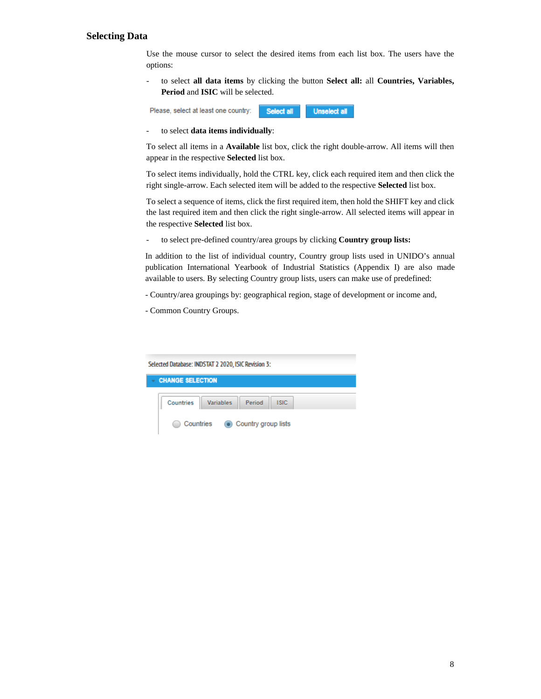#### **Selecting Data**

Use the mouse cursor to select the desired items from each list box. The users have the options:

to select all data items by clicking the button Select all: all Countries, Variables, Period and **ISIC** will be selected.

| Please, select at least one country: | Select all | <b>Unselect all</b> |
|--------------------------------------|------------|---------------------|
|--------------------------------------|------------|---------------------|

- to select **data items individually**:

To select all items in a **Available** list box, click the right double-arrow. All items will then appear in the respective **Selected** list box.

To select items individually, hold the CTRL key, click each required item and then click the right single-arrow. Each selected item will be added to the respective **Selected** list box.

To select a sequence of items, click the first required item, then hold the SHIFT key and click the last required item and then click the right single-arrow. All selected items will appear in the respective **Selected** list box.

- to select pre-defined country/area groups by clicking **Country group lists:**

In addition to the list of individual country, Country group lists used in UNIDO's annual publication International Yearbook of Industrial Statistics (Appendix I) are also made available to users. By selecting Country group lists, users can make use of predefined:

- Country/area groupings by: geographical region, stage of development or income and,
- Common Country Groups.

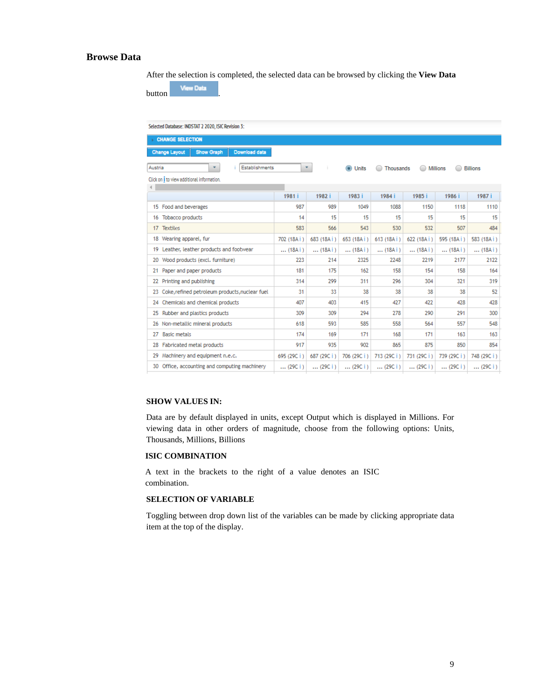#### **Browse Data**

After the selection is completed, the selected data can be browsed by clicking the **View Data**

| <b>View Data</b><br>button                                 |                  |             |                  |                  |                  |                 |                  |
|------------------------------------------------------------|------------------|-------------|------------------|------------------|------------------|-----------------|------------------|
| Selected Database: INDSTAT 2 2020, ISIC Revision 3:        |                  |             |                  |                  |                  |                 |                  |
|                                                            |                  |             |                  |                  |                  |                 |                  |
| <b>CHANGE SELECTION</b>                                    |                  |             |                  |                  |                  |                 |                  |
| <b>Change Layout</b><br>Download data<br><b>Show Graph</b> |                  |             |                  |                  |                  |                 |                  |
| Establishments<br>Austria<br>٠                             |                  | ۷.          | <b>O</b> Units   | <b>Thousands</b> |                  | <b>Millions</b> | <b>Billions</b>  |
| Click on i to view additional information.                 |                  |             |                  |                  |                  |                 |                  |
|                                                            |                  |             |                  |                  |                  |                 |                  |
|                                                            | 1981 i           | 1982 i      | 1983 i           | 1984 i           | 1985 i           | 1986 i          | 1987 i           |
| 15 Food and beverages                                      | 987              | 989         | 1049             | 1088             | 1150             | 1118            | 1110             |
| Tobacco products<br>16                                     | 14               | 15          | 15               | 15               | 15               | 15              | 15               |
| 17 Textiles                                                | 583              | 566         | 543              | 530              | 532              | 507             | 484              |
| 18 Wearing apparel, fur                                    | 702 (18A i)      | 683 (18A i) | 653 (18A i)      | 613 (18A i)      | 622 (18A i)      | 595 (18A i)     | 583 (18A i)      |
| Leather, leather products and footwear<br>19.              | (18A)            | (18A)       | $\ldots$ (18A i) | $\ldots$ (18A i) | $\ldots$ (18A i) | $\dots$ (18A i) | $\ldots$ (18A i) |
| Wood products (excl. furniture)<br>20                      | 223              | 214         | 2325             | 2248             | 2219             | 2177            | 2122             |
| Paper and paper products<br>21                             | 181              | 175         | 162              | 158              | 154              | 158             | 164              |
| 22 Printing and publishing                                 | 314              | 299         | 311              | 296              | 304              | 321             | 319              |
| Coke, refined petroleum products, nuclear fuel<br>23       | 31               | 33          | 38               | 38               | 38               | 38              | 52               |
| 24 Chemicals and chemical products                         | 407              | 403         | 415              | 427              | 422              | 428             | 428              |
| Rubber and plastics products<br>25.                        | 309              | 309         | 294              | 278              | 290              | 291             | 300              |
| 26 Non-metallic mineral products                           | 618              | 593         | 585              | 558              | 564              | 557             | 548              |
| <b>Basic metals</b><br>27                                  | 174              | 169         | 171              | 168              | 171              | 163             | 163              |
| Fabricated metal products<br>28.                           | 917              | 935         | 902              | 865              | 875              | 850             | 854              |
| 29 Machinery and equipment n.e.c.                          | 695 (29C i)      | 687 (29C i) | 706 (29C i)      | 713 (29C i)      | 731 (29C i)      | 739 (29C i)     | 748 (29C i)      |
| 30 Office, accounting and computing machinery              | $\ldots$ (29C i) | $(29C i)$   | $(29C i)$        | $\ldots$ (29C i) | $(29C i)$        | $(29C i)$       | $(29C i)$        |

#### **SHOW VALUES IN:**

Data are by default displayed in units, except Output which is displayed in Millions. For viewing data in other orders of magnitude, choose from the following options: Units, Thousands, Millions, Billions

#### **ISIC COMBINATION**

A text in the brackets to the right of a value denotes an ISIC combination.

#### **SELECTION OF VARIABLE**

Toggling between drop down list of the variables can be made by clicking appropriate data item at the top of the display.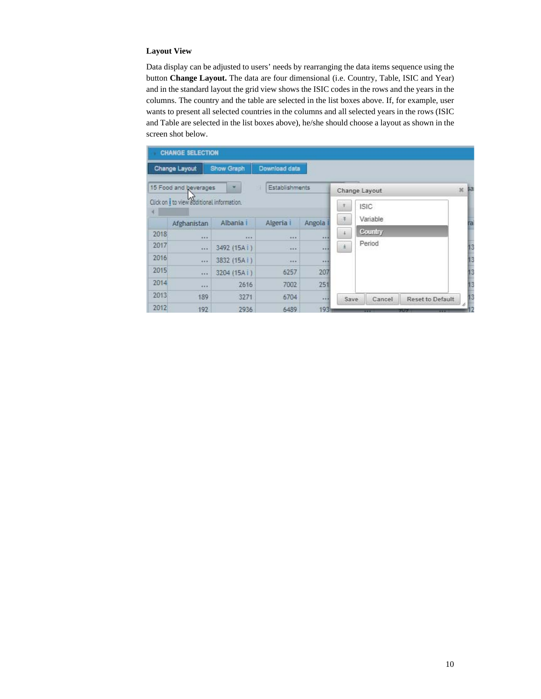#### **Layout View**

Data display can be adjusted to users' needs by rearranging the data items sequence using the button **Change Layout.** The data are four dimensional (i.e. Country, Table, ISIC and Year) and in the standard layout the grid view shows the ISIC codes in the rows and the years in the columns. The country and the table are selected in the list boxes above. If, for example, user wants to present all selected countries in the columns and all selected years in the rows (ISIC and Table are selected in the list boxes above), he/she should choose a layout as shown in the screen shot below.

|      | <b>CHANGE SELECTION</b>                    |                   |                |        |           |               |                                  |             |
|------|--------------------------------------------|-------------------|----------------|--------|-----------|---------------|----------------------------------|-------------|
|      | Change Layout                              | <b>Show Graph</b> | Download data  |        |           |               |                                  |             |
|      | 15 Food and beverages                      |                   | Establishments |        |           | Change Layout |                                  | $\times$ 33 |
|      | Click on i to view additional information. |                   |                |        | $+$       | ISIC          |                                  |             |
|      | Afghanistan                                | Albania i         | Algeria i      | Angola | $\bar{1}$ | Variable      |                                  | ra          |
| 2018 | 1111                                       | 111               | 1.16           | 118    |           | Country       |                                  |             |
| 2017 | 1.11                                       | 3492 (15A1)       | 1111           | 1.14   | $\pm$     | Period        |                                  | ii 3        |
| 2016 | 1.11                                       | 3832 (15A1)       | 1112           | 1.11   |           |               |                                  | R           |
| 2015 | 1.11                                       | 3204 (15A i)      | 6257           | 207    |           |               |                                  | 18          |
| 2014 | 18.8.9                                     | 2616              | 7002           | 251    |           |               |                                  |             |
| 2013 | 189                                        | 3271              | 6704           | 111    | Save      | Cancel        | Reset to Default                 |             |
| 2012 | 192                                        | 2936              | 6489           | 193    |           |               | <b>SARADIO</b><br>$\overline{1}$ |             |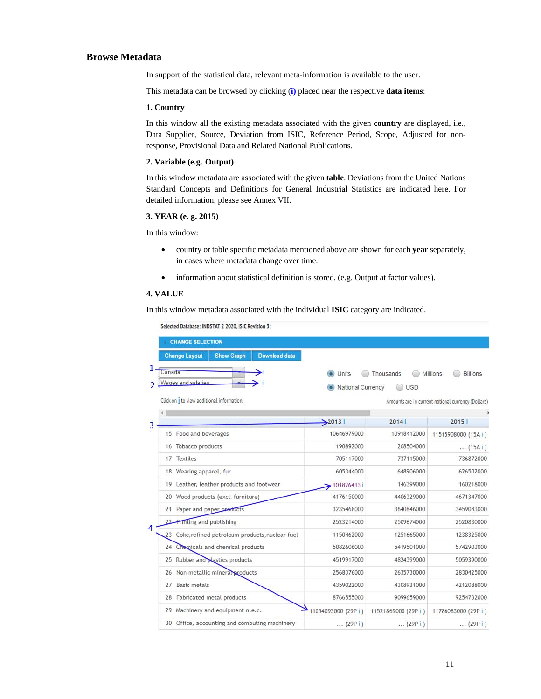#### **Browse Metadata**

In support of the statistical data, relevant meta-information is available to the user.

This metadata can be browsed by clicking (**i)** placed near the respective **data items**:

#### **1. Country**

In this window all the existing metadata associated with the given **country** are displayed, i.e., Data Supplier, Source, Deviation from ISIC, Reference Period, Scope, Adjusted for nonresponse, Provisional Data and Related National Publications.

#### **2. Variable (e.g. Output)**

In this window metadata are associated with the given **table**. Deviations from the United Nations Standard Concepts and Definitions for General Industrial Statistics are indicated here. For detailed information, please see Annex VII.

#### **3. YEAR (e. g. 2015)**

In this window:

- country or table specific metadata mentioned above are shown for each **year** separately, in cases where metadata change over time.
- information about statistical definition is stored. (e.g. Output at factor values).

#### **4. VALUE**

In this window metadata associated with the individual **ISIC** category are indicated.

Selected Database: INDSTAT 2 2020, ISIC Revision 3:

| <b>CHANGE SELECTION</b>                                                                                                                        |                            |                         |                                                                                   |
|------------------------------------------------------------------------------------------------------------------------------------------------|----------------------------|-------------------------|-----------------------------------------------------------------------------------|
| <b>Download data</b><br><b>Change Layout</b><br><b>Show Graph</b><br>anada<br>Wages and salaries<br>Click on I to view additional information. | Units<br>National Currency | Thousands<br><b>USD</b> | Millions<br><b>Billions</b><br>Amounts are in current national currency (Dollars) |
|                                                                                                                                                | $\rightarrow 2013$         | 2014 i                  | 2015 i                                                                            |
| 15 Food and beverages                                                                                                                          | 10646979000                | 10918412000             | 11515908000 (15A i)                                                               |
| Tobacco products<br>16                                                                                                                         | 190892000                  | 208504000               | $\ldots$ (15A i)                                                                  |
| 17 Textiles                                                                                                                                    | 705117000                  | 737115000               | 736872000                                                                         |
| 18 Wearing apparel, fur                                                                                                                        | 605344000                  | 648906000               | 626502000                                                                         |
| 19 Leather, leather products and footwear                                                                                                      | 101826413                  | 146399000               | 160218000                                                                         |
| 20 Wood products (excl. furniture)                                                                                                             | 4176150000                 | 4406329000              | 4671347000                                                                        |
| Paper and paper preducts<br>21                                                                                                                 | 3235468000                 | 3640846000              | 3459083000                                                                        |
| 22 Printing and publishing                                                                                                                     | 2523214000                 | 2509674000              | 2520830000                                                                        |
| Coke, refined petroleum products, nuclear fuel<br>23                                                                                           | 1150462000                 | 1251665000              | 1238325000                                                                        |
| Chemicals and chemical products<br>24                                                                                                          | 5082606000                 | 5419501000              | 5742903000                                                                        |
| 25 Rubber and plastics products                                                                                                                | 4519917000                 | 4824399000              | 5059390000                                                                        |
| Non-metallic mineral scoducts<br>26                                                                                                            | 2568376000                 | 2635730000              | 2830425000                                                                        |
| <b>Basic metals</b><br>27                                                                                                                      | 4359022000                 | 4308931000              | 4212088000                                                                        |
| Fabricated metal products<br>28                                                                                                                | 8766555000                 | 9099659000              | 9254732000                                                                        |
| 29 Machinery and equipment n.e.c.                                                                                                              | 11054093000 (29Pi)         | 11521869000 (29Pi)      | 11786083000 (29P i)                                                               |
| 30 Office, accounting and computing machinery                                                                                                  | (29P)                      | (29P)                   | $(29P)$                                                                           |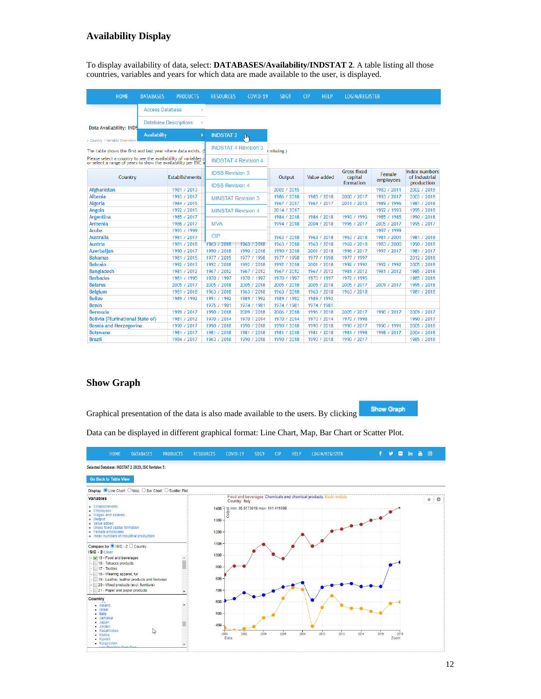#### **Availability Display**

To display availability of data, select: **DATABASES/Availability/INDSTAT 2**. A table listing all those countries, variables and years for which data are made available to the user, is displayed.

| <b>HOME</b>                                                                                                                      | <b>DATABASES</b>       | <b>PRODUCTS</b>                               | <b>RESOURCES</b>          | <b>COVID-19</b>             | SDG9        | <b>CIP</b><br><b>HELP</b> | <b>LOGIN/REGISTER</b>                      |                     |                                                     |
|----------------------------------------------------------------------------------------------------------------------------------|------------------------|-----------------------------------------------|---------------------------|-----------------------------|-------------|---------------------------|--------------------------------------------|---------------------|-----------------------------------------------------|
|                                                                                                                                  | <b>Access Database</b> | b.                                            |                           |                             |             |                           |                                            |                     |                                                     |
| Data Availability: INDS                                                                                                          |                        | <b>Database Descriptions:</b><br>$\mathbb{R}$ |                           |                             |             |                           |                                            |                     |                                                     |
| > Country / Variable Overwiew                                                                                                    | Availability           | ,                                             | <b>INDSTAT 2</b>          | յհո                         |             |                           |                                            |                     |                                                     |
| The table shows the first and last year where data exists. (                                                                     |                        | <b>INDSTAT 4 Revision 3</b>                   | : missing.)               |                             |             |                           |                                            |                     |                                                     |
| Please select a country to see the availability of variables p<br>or select a range of years to show the availability per ISIC a |                        |                                               |                           | <b>INDSTAT 4 Revision 4</b> |             |                           |                                            |                     |                                                     |
| Country                                                                                                                          |                        | <b>Establishments</b>                         | <b>IDSB Revision 3</b>    |                             | Output      | Value added               | <b>Gross fixed</b><br>capital<br>formation | Female<br>employees | <b>Index numbers</b><br>of industrial<br>production |
| <b>Afghanistan</b>                                                                                                               |                        | 1981 / 2013                                   | <b>IDSB Revision 4</b>    |                             | 2002 / 2015 |                           |                                            | 1983 / 2011         | 2002 / 2018                                         |
| <b>Albania</b>                                                                                                                   |                        | 1993 / 2017                                   | <b>MINSTAT Revision 3</b> |                             | 1986 / 2018 | 1985 / 2018               | 2000 / 2017                                | 1993 / 2017         | 2003 / 2018                                         |
| Algeria                                                                                                                          |                        | 1984 / 2015                                   |                           |                             | 1967 / 2017 | 1967 / 2017               | 2011 / 2015                                | 1989 / 1996         | 1981 / 2018                                         |
| Angola                                                                                                                           |                        | 1992 / 2015                                   | <b>MINSTAT Revision 4</b> |                             | 2014 / 2017 |                           |                                            | 1992 / 1993         | 1995 / 2018                                         |
| Argentina                                                                                                                        |                        | 1985 / 2017                                   |                           |                             | 1984 / 2018 | 1984 / 2018               | 1993 / 1993                                | 1985 / 1985         | 1990 / 2018                                         |
| <b>Armenia</b>                                                                                                                   |                        | 1986 / 2017                                   | <b>MVA</b>                |                             | 1994 / 2018 | 2004 / 2018               | 1996 / 2017                                | 2005 / 2017         | 1995 / 2017                                         |
| <b>Aruba</b>                                                                                                                     |                        | 1993 / 1999                                   |                           |                             |             |                           |                                            | 1997 / 1999         |                                                     |
| <b>Australia</b>                                                                                                                 |                        | 1981 / 2017                                   | <b>CIP</b>                |                             | 1963 / 2018 | 1963 / 2018               | 1963 / 2018                                | 1981 / 2001         | 1981 / 2018                                         |
| <b>Austria</b>                                                                                                                   |                        | 1981 / 2018                                   | 1963 / 2018               | 1963 / 2018                 | 1963 / 2018 | 1963 / 2018               | 1969 / 2018                                | 1983 / 2000         | 1990 / 2018                                         |
| Azerbaijan                                                                                                                       |                        | 1990 / 2017                                   | 1990 / 2018               | 1990 / 2018                 | 1990 / 2018 | 2001 / 2018               | 1996 / 2017                                | 1997 / 2017         | 1981 / 2017                                         |
| <b>Bahamas</b>                                                                                                                   |                        | 1981 / 2015                                   | 1977 / 2015               | 1977 / 1998                 | 1977 / 1998 | 1977 / 1998               | 1977 / 1997                                |                     | 2012 / 2018                                         |
| <b>Bahrain</b>                                                                                                                   |                        | 1992 / 2013                                   | 1992 / 2018               | 1992 / 2018                 | 1992 / 2018 | 2001 / 2018               | 1992 / 1992                                | 1992 / 1992         | 2005 / 2018                                         |
| <b>Bangladesh</b>                                                                                                                |                        | 1981 / 2012                                   | 1967 / 2012               | 1967 / 2012                 | 1967 / 2012 | 1967 / 2012               | 1981 / 2012                                | 1981 / 2012         | 1985 / 2018                                         |
| <b>Barbados</b>                                                                                                                  |                        | 1981 / 1995                                   | 1970 / 1997               | 1970 / 1997                 | 1970 / 1997 | 1970 / 1997               | 1972 / 1995                                |                     | 1985 / 2018                                         |
| <b>Belarus</b>                                                                                                                   |                        | 2005 / 2017                                   | 2005 / 2018               | 2005 / 2018                 | 2005 / 2018 | 2005 / 2018               | 2005 / 2017                                | 2009 / 2017         | 1995 / 2018                                         |
| <b>Belgium</b>                                                                                                                   |                        | 1981 / 2018                                   | 1963 / 2018               | 1963 / 2018                 | 1963 / 2018 | 1963 / 2018               | 1963 / 2018                                |                     | 1981 / 2018                                         |
| <b>Belize</b>                                                                                                                    |                        | 1989 / 1992                                   | 1991 / 1992               | 1989 / 1992                 | 1989 / 1992 | 1989 / 1992               |                                            |                     |                                                     |
| <b>Benin</b>                                                                                                                     |                        |                                               | 1975 / 1981               | 1974 / 1981                 | 1974 / 1981 | 1974 / 1981               |                                            |                     |                                                     |
| Bermuda                                                                                                                          |                        | 1999 / 2017                                   | 1990 / 2018               | 2009 / 2018                 | 2006 / 2018 | 1996 / 2018               | 2005 / 2017                                | 1990 / 2017         | 2009 / 2017                                         |
| <b>Bolivia (Plurinational State of)</b>                                                                                          |                        | 1981 / 2012                                   | 1970 / 2014               | 1970 / 2014                 | 1970 / 2014 | 1970 / 2014               | 1970 / 1998                                |                     | 1990 / 2017                                         |
| <b>Bosnia and Herzegovina</b>                                                                                                    |                        | 1990 / 2017                                   | 1990 / 2018               | 1990 / 2018                 | 1990 / 2018 | 1990 / 2018               | 1990 / 2017                                | 1990 / 1991         | 2005 / 2018                                         |
| <b>Botswana</b>                                                                                                                  |                        | 1981 / 2017                                   | 1981 / 2018               | 1981 / 2018                 | 1981 / 2018 | 1981 / 2018               | 1981 / 1998                                | 1998 / 2017         | 2004 / 2018                                         |
| <b>Brazil</b>                                                                                                                    |                        | 1984 / 2017                                   | 1963 / 2018               | 1990 / 2018                 | 1990 / 2018 | 1990 / 2018               | 1990 / 2017                                |                     | 1985 / 2018                                         |

#### **Show Graph**

Show Graph Graphical presentation of the data is also made available to the users. By clicking

Data can be displayed in different graphical format: Line Chart, Map, Bar Chart or Scatter Plot.

|                                                                                                                                          | HOME                                                                                          | <b>DATABASES</b>                                                                                                                                               | <b>PRODUCTS</b> | <b>RESOURCES</b>                                            | <b>COVID-19</b>                                    | SDG9 | CIP  | <b>HELP</b> | LOGIN/REGISTER                                                  | ÷            | $9$ $m$ in $m$ $\odot$ |  |     |
|------------------------------------------------------------------------------------------------------------------------------------------|-----------------------------------------------------------------------------------------------|----------------------------------------------------------------------------------------------------------------------------------------------------------------|-----------------|-------------------------------------------------------------|----------------------------------------------------|------|------|-------------|-----------------------------------------------------------------|--------------|------------------------|--|-----|
|                                                                                                                                          |                                                                                               | Selected Database: INDSTAT 2 2020, ISIC Revision 3:                                                                                                            |                 |                                                             |                                                    |      |      |             |                                                                 |              |                        |  |     |
|                                                                                                                                          | <b>Go Back to Table View</b>                                                                  |                                                                                                                                                                |                 |                                                             |                                                    |      |      |             |                                                                 |              |                        |  |     |
|                                                                                                                                          |                                                                                               | Display Line Chart OMap O Bar Chart O Scatter Plot                                                                                                             |                 |                                                             |                                                    |      |      |             |                                                                 |              |                        |  |     |
| <b>Variables</b>                                                                                                                         |                                                                                               |                                                                                                                                                                |                 |                                                             | Country: Italy                                     |      |      |             | Food and beverages Chemicals and chemical products Basic metals |              |                        |  | * 0 |
| <b>o</b> Establishments<br>o Employees<br>o Output<br>o Value added                                                                      | o Wages and salaries<br>o Gross fixed capital formation<br>o Female employees                 | o Index numbers of industrial production                                                                                                                       |                 | 130B<br>120B                                                | 140B $\frac{3}{2}$ min: 35.617301B max: 141.41160B |      |      |             |                                                                 |              |                        |  |     |
| ISIC - 2 Clear<br>$-$ 17 - Textiles                                                                                                      | $ \sqrt{15}$ - Food and beverages<br>$-$ 16 - Tobacco products<br>- 18 - Wearing apparel, fur | Compare by <b>O</b> ISIC - 2 O Country<br>19 - Leather, leather products and footwear<br>20 - Wood products (excl. furniture)<br>21 - Paper and paper products | $\lambda$<br>٠  | <b>110B</b><br>100B<br>90B<br>80 <sub>B</sub><br><b>70B</b> |                                                    |      |      |             |                                                                 |              |                        |  |     |
| Country<br>$l$ Ireland<br>$\bullet$ Israel<br>- Italy<br>· Jamaica<br>$\bullet$ Japan<br>· Jordan<br>• Kenya<br>- Kuwait<br>• Kyrgyzstan | • Kazakhstan                                                                                  | Z                                                                                                                                                              | ۸<br>۰          | 60B<br>50 <sub>B</sub><br>40B                               | 2002<br>2000<br>Data                               | 2004 | 2006 | 2008        | 2012<br>2010                                                    | 2016<br>2014 | 2018<br>Zoom           |  |     |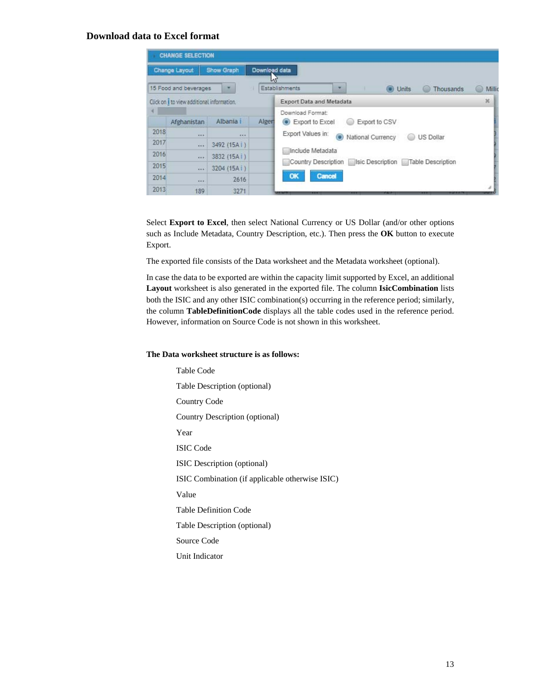#### **Download data to Excel format**

|      | <b>CHANGE SELECTION</b>                    |                   |                    |                                                            |               |
|------|--------------------------------------------|-------------------|--------------------|------------------------------------------------------------|---------------|
|      | Change Layout                              | <b>Show Graph</b> | Download data<br>M |                                                            |               |
|      | 15 Food and beverages                      |                   |                    | Establishments<br>Units<br>Thousands<br>G<br>60            | Millio<br>610 |
|      | Click on i to view additional information. |                   |                    | <b>Export Data and Metadata</b>                            | $\mathbf{x}$  |
|      |                                            |                   |                    | Download Format:                                           |               |
|      | Afghanistan                                | Albania I         | Algeri             | Export to CSV<br>Export to Excel<br>0                      |               |
| 2018 | 1.11                                       | $100 - 100$       |                    | Export Values in:<br>National Currency<br><b>US Dollar</b> |               |
| 2017 | 111                                        | 3492 (15A i)      |                    |                                                            |               |
| 2016 | 1.12                                       | 3832 (15A1)       |                    | Include Metadata                                           |               |
| 2015 | <b>ALL</b>                                 | 3204 (15A1)       |                    | Country Description Isic Description Table Description     |               |
| 2014 | <b>HAW</b>                                 | 2616              |                    | OK<br>Cancel                                               |               |
| 2013 | 189                                        | 3271              |                    | --<br>--                                                   |               |

Select **Export to Excel**, then select National Currency or US Dollar (and/or other options such as Include Metadata, Country Description, etc.). Then press the **OK** button to execute Export.

The exported file consists of the Data worksheet and the Metadata worksheet (optional).

In case the data to be exported are within the capacity limit supported by Excel, an additional **Layout** worksheet is also generated in the exported file. The column **IsicCombination** lists both the ISIC and any other ISIC combination(s) occurring in the reference period; similarly, the column **TableDefinitionCode** displays all the table codes used in the reference period. However, information on Source Code is not shown in this worksheet.

#### **The Data worksheet structure is as follows:**

Table Code Table Description (optional) Country Code Country Description (optional) Year ISIC Code ISIC Description (optional) ISIC Combination (if applicable otherwise ISIC) Value Table Definition Code Table Description (optional) Source Code Unit Indicator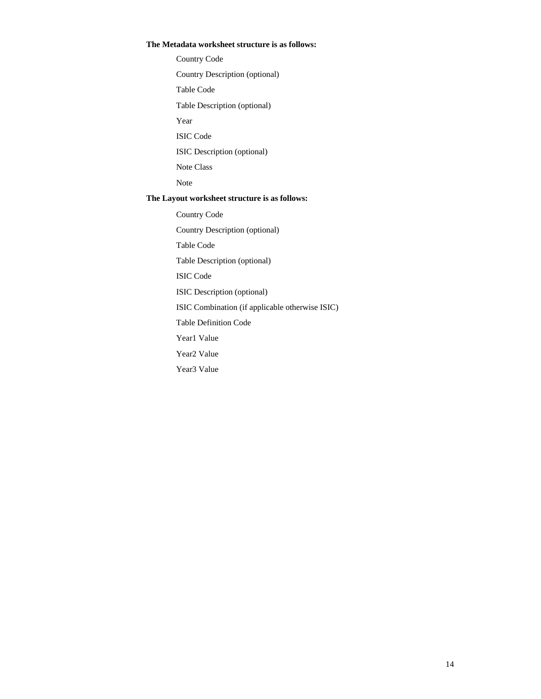#### **The Metadata worksheet structure is as follows:**

Country Code

Country Description (optional)

Table Code

Table Description (optional)

Year

ISIC Code

ISIC Description (optional)

Note Class

Note

#### **The Layout worksheet structure is as follows:**

Country Code

Country Description (optional)

Table Code

Table Description (optional)

ISIC Code

ISIC Description (optional)

ISIC Combination (if applicable otherwise ISIC)

Table Definition Code

Year1 Value

Year2 Value

Year3 Value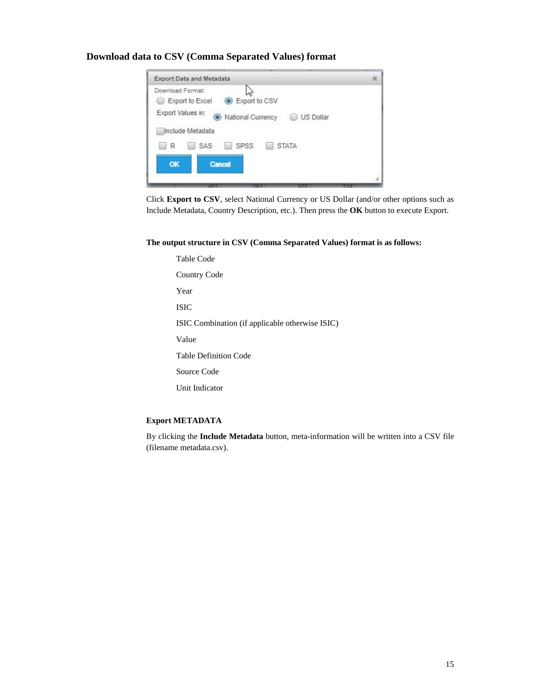#### **Download data to CSV (Comma Separated Values) format**

| <b>Export Data and Metadata</b> |                   |              |                  |              | × |
|---------------------------------|-------------------|--------------|------------------|--------------|---|
| Download Format:                |                   |              |                  |              |   |
| Export to Excel                 | C Export to CSV   |              |                  |              |   |
| Export Values in:               | National Currency |              | <b>US Dollar</b> |              |   |
| Include Metadata                |                   |              |                  |              |   |
| SAS<br>R                        | <b>SPSS</b>       | <b>STATA</b> |                  |              |   |
| OK                              | <b>Cancel</b>     |              |                  |              |   |
|                                 |                   |              |                  |              |   |
| <b>CONTRACTOR</b>               | <b>Burning</b>    |              | <b>ALCOHOL:</b>  | <b>BLACK</b> |   |

Click **Export to CSV**, select National Currency or US Dollar (and/or other options such as Include Metadata, Country Description, etc.). Then press the **OK** button to execute Export.

#### **The output structure in CSV (Comma Separated Values) format is as follows:**

Table Code Country Code Year ISIC ISIC Combination (if applicable otherwise ISIC) Value Table Definition Code Source Code Unit Indicator

#### **Export METADATA**

By clicking the **Include Metadata** button, meta-information will be written into a CSV file (filename metadata.csv).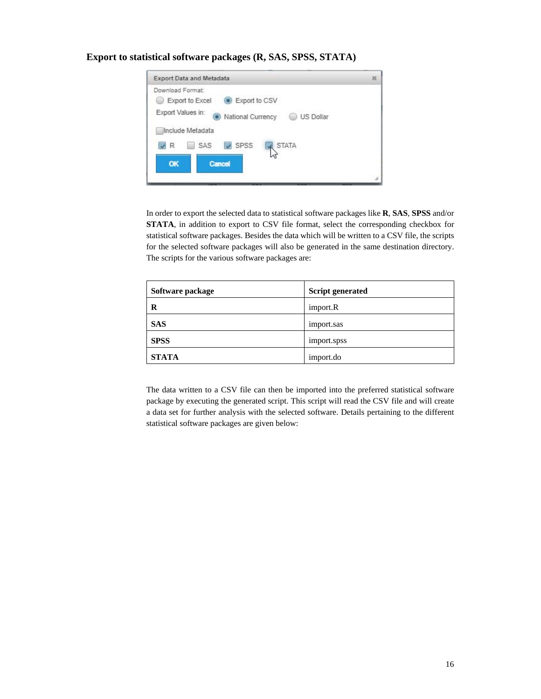#### **Export to statistical software packages (R, SAS, SPSS, STATA)**

| <b>Export Data and Metadata</b>                     | × |
|-----------------------------------------------------|---|
| Download Format:<br>Export to Excel . Export to CSV |   |
| Export Values in:                                   |   |
| Include Metadata                                    |   |
| SPSS<br>SAS<br><b>STATA</b><br>R                    |   |
| OK<br>Cancel                                        |   |
| __<br>__<br>--<br>__                                |   |

In order to export the selected data to statistical software packages like **R**, **SAS**, **SPSS** and/or **STATA**, in addition to export to CSV file format, select the corresponding checkbox for statistical software packages. Besides the data which will be written to a CSV file, the scripts for the selected software packages will also be generated in the same destination directory. The scripts for the various software packages are:

| Software package | <b>Script generated</b> |
|------------------|-------------------------|
| R                | import.R                |
| <b>SAS</b>       | import.sas              |
| <b>SPSS</b>      | import.spss             |
| <b>STATA</b>     | import.do               |

The data written to a CSV file can then be imported into the preferred statistical software package by executing the generated script. This script will read the CSV file and will create a data set for further analysis with the selected software. Details pertaining to the different statistical software packages are given below: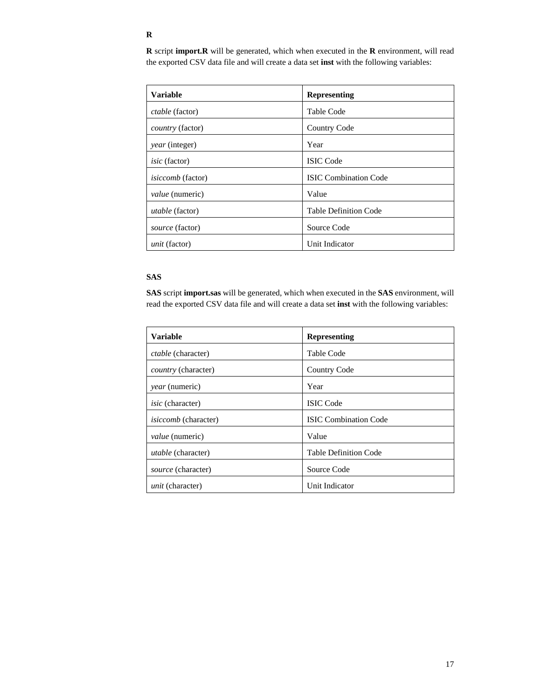#### **R**

**R** script **import.R** will be generated, which when executed in the **R** environment, will read the exported CSV data file and will create a data set **inst** with the following variables:

| <b>Variable</b>          | <b>Representing</b>          |
|--------------------------|------------------------------|
| <i>ctable</i> (factor)   | Table Code                   |
| <i>country</i> (factor)  | <b>Country Code</b>          |
| <i>year</i> (integer)    | Year                         |
| <i>isic</i> (factor)     | <b>ISIC Code</b>             |
| <i>isiccomb</i> (factor) | <b>ISIC Combination Code</b> |
| <i>value</i> (numeric)   | Value                        |
| <i>utable</i> (factor)   | <b>Table Definition Code</b> |
| source (factor)          | Source Code                  |
| <i>unit</i> (factor)     | Unit Indicator               |

#### **SAS**

**SAS** script **import.sas** will be generated, which when executed in the **SAS** environment, will read the exported CSV data file and will create a data set **inst** with the following variables:

| <b>Variable</b>             | <b>Representing</b>          |
|-----------------------------|------------------------------|
| <i>ctable</i> (character)   | Table Code                   |
| <i>country</i> (character)  | Country Code                 |
| year (numeric)              | Year                         |
| <i>isic</i> (character)     | <b>ISIC Code</b>             |
| <i>isiccomb</i> (character) | <b>ISIC Combination Code</b> |
| value (numeric)             | Value                        |
| <i>utable</i> (character)   | <b>Table Definition Code</b> |
| source (character)          | Source Code                  |
| <i>unit</i> (character)     | Unit Indicator               |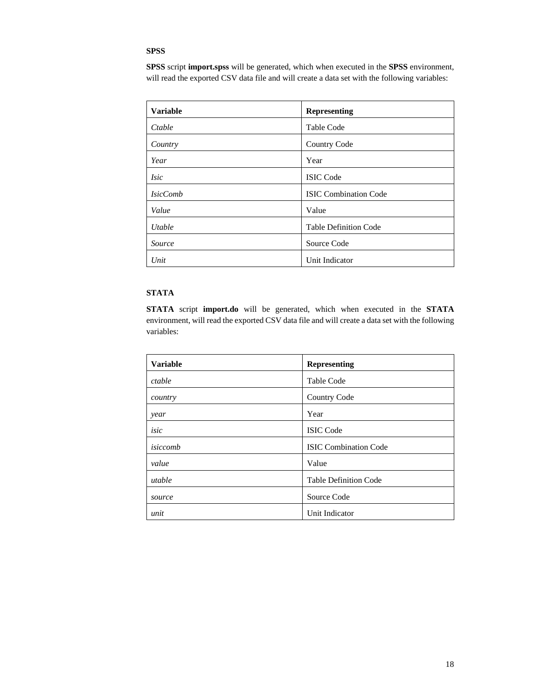#### **SPSS**

**SPSS** script **import.spss** will be generated, which when executed in the **SPSS** environment, will read the exported CSV data file and will create a data set with the following variables:

| <b>Variable</b> | <b>Representing</b>          |
|-----------------|------------------------------|
| Ctable          | <b>Table Code</b>            |
| Country         | Country Code                 |
| Year            | Year                         |
| <i>Isic</i>     | <b>ISIC Code</b>             |
| <i>IsicComb</i> | <b>ISIC Combination Code</b> |
| Value           | Value                        |
| Utable          | <b>Table Definition Code</b> |
| Source          | Source Code                  |
| Unit            | Unit Indicator               |

#### **STATA**

**STATA** script **import.do** will be generated, which when executed in the **STATA** environment, will read the exported CSV data file and will create a data set with the following variables:

| <b>Variable</b> | <b>Representing</b>          |
|-----------------|------------------------------|
| ctable          | <b>Table Code</b>            |
| country         | <b>Country Code</b>          |
| year            | Year                         |
| isic            | <b>ISIC Code</b>             |
| isiccomb        | <b>ISIC Combination Code</b> |
| value           | Value                        |
| utable          | <b>Table Definition Code</b> |
| source          | Source Code                  |
| unit            | Unit Indicator               |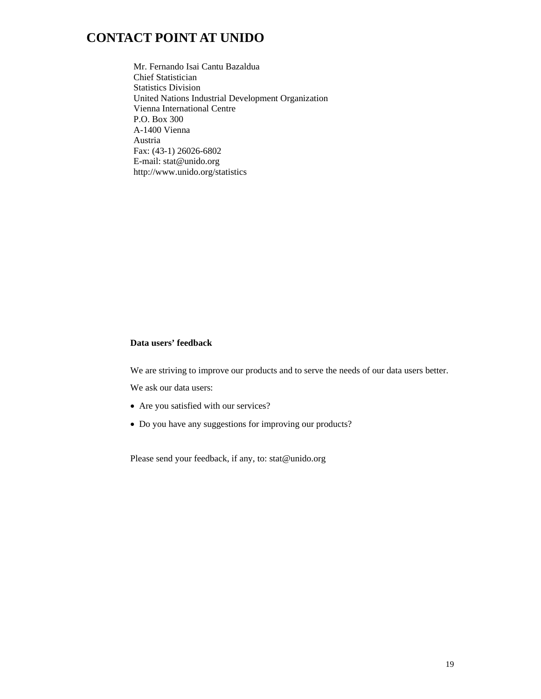## **CONTACT POINT AT UNIDO**

Mr. Fernando Isai Cantu Bazaldua Chief Statistician Statistics Division United Nations Industrial Development Organization Vienna International Centre P.O. Box 300 A-1400 Vienna Austria Fax: (43-1) 26026-6802 E-mail: stat@unido.org http://www.unido.org/statistics

#### **Data users' feedback**

We are striving to improve our products and to serve the needs of our data users better.

We ask our data users:

- Are you satisfied with our services?
- Do you have any suggestions for improving our products?

Please send your feedback, if any, to: stat@unido.org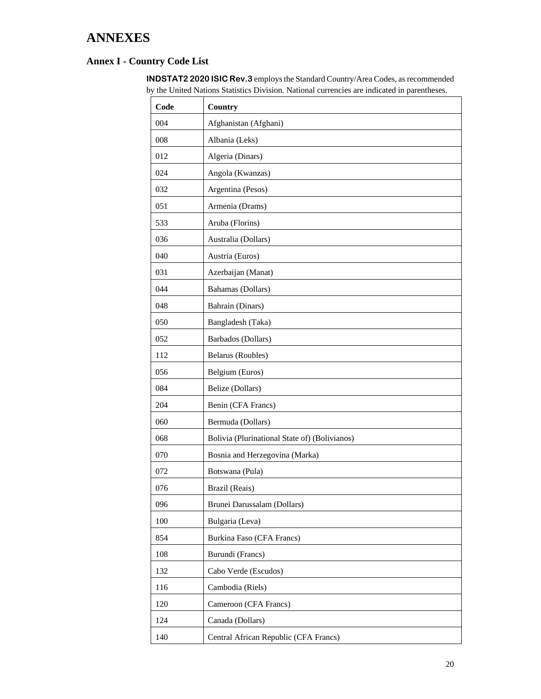## **ANNEXES**

#### **Annex I - Country Code List**

**INDSTAT2 2020 ISIC Rev.3** employs the Standard Country/Area Codes, as recommended by the United Nations Statistics Division. National currencies are indicated in parentheses.

| Code | Country                                       |
|------|-----------------------------------------------|
| 004  | Afghanistan (Afghani)                         |
| 008  | Albania (Leks)                                |
| 012  | Algeria (Dinars)                              |
| 024  | Angola (Kwanzas)                              |
| 032  | Argentina (Pesos)                             |
| 051  | Armenia (Drams)                               |
| 533  | Aruba (Florins)                               |
| 036  | Australia (Dollars)                           |
| 040  | Austria (Euros)                               |
| 031  | Azerbaijan (Manat)                            |
| 044  | Bahamas (Dollars)                             |
| 048  | Bahrain (Dinars)                              |
| 050  | Bangladesh (Taka)                             |
| 052  | Barbados (Dollars)                            |
| 112  | Belarus (Roubles)                             |
| 056  | Belgium (Euros)                               |
| 084  | Belize (Dollars)                              |
| 204  | Benin (CFA Francs)                            |
| 060  | Bermuda (Dollars)                             |
| 068  | Bolivia (Plurinational State of) (Bolivianos) |
| 070  | Bosnia and Herzegovina (Marka)                |
| 072  | Botswana (Pula)                               |
| 076  | Brazil (Reais)                                |
| 096  | Brunei Darussalam (Dollars)                   |
| 100  | Bulgaria (Leva)                               |
| 854  | Burkina Faso (CFA Francs)                     |
| 108  | Burundi (Francs)                              |
| 132  | Cabo Verde (Escudos)                          |
| 116  | Cambodia (Riels)                              |
| 120  | Cameroon (CFA Francs)                         |
| 124  | Canada (Dollars)                              |
| 140  | Central African Republic (CFA Francs)         |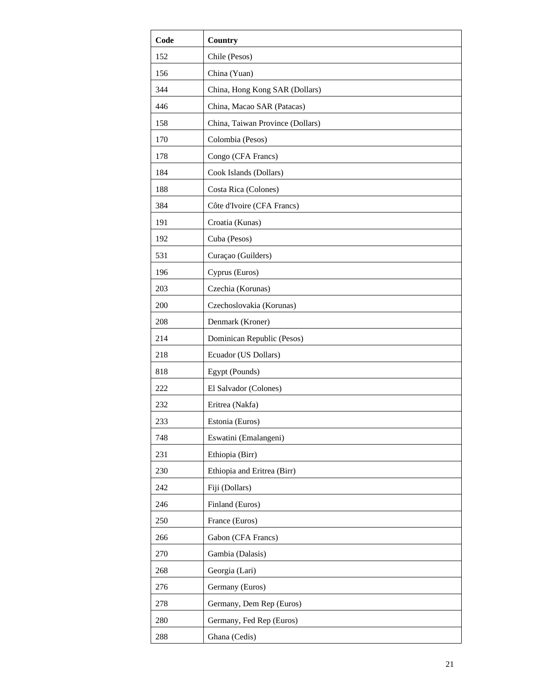| Code | Country                          |
|------|----------------------------------|
| 152  | Chile (Pesos)                    |
| 156  | China (Yuan)                     |
| 344  | China, Hong Kong SAR (Dollars)   |
| 446  | China, Macao SAR (Patacas)       |
| 158  | China, Taiwan Province (Dollars) |
| 170  | Colombia (Pesos)                 |
| 178  | Congo (CFA Francs)               |
| 184  | Cook Islands (Dollars)           |
| 188  | Costa Rica (Colones)             |
| 384  | Côte d'Ivoire (CFA Francs)       |
| 191  | Croatia (Kunas)                  |
| 192  | Cuba (Pesos)                     |
| 531  | Curaçao (Guilders)               |
| 196  | Cyprus (Euros)                   |
| 203  | Czechia (Korunas)                |
| 200  | Czechoslovakia (Korunas)         |
| 208  | Denmark (Kroner)                 |
| 214  | Dominican Republic (Pesos)       |
| 218  | Ecuador (US Dollars)             |
| 818  | Egypt (Pounds)                   |
| 222  | El Salvador (Colones)            |
| 232  | Eritrea (Nakfa)                  |
| 233  | Estonia (Euros)                  |
| 748  | Eswatini (Emalangeni)            |
| 231  | Ethiopia (Birr)                  |
| 230  | Ethiopia and Eritrea (Birr)      |
| 242  | Fiji (Dollars)                   |
| 246  | Finland (Euros)                  |
| 250  | France (Euros)                   |
| 266  | Gabon (CFA Francs)               |
| 270  | Gambia (Dalasis)                 |
| 268  | Georgia (Lari)                   |
| 276  | Germany (Euros)                  |
| 278  | Germany, Dem Rep (Euros)         |
| 280  | Germany, Fed Rep (Euros)         |
| 288  | Ghana (Cedis)                    |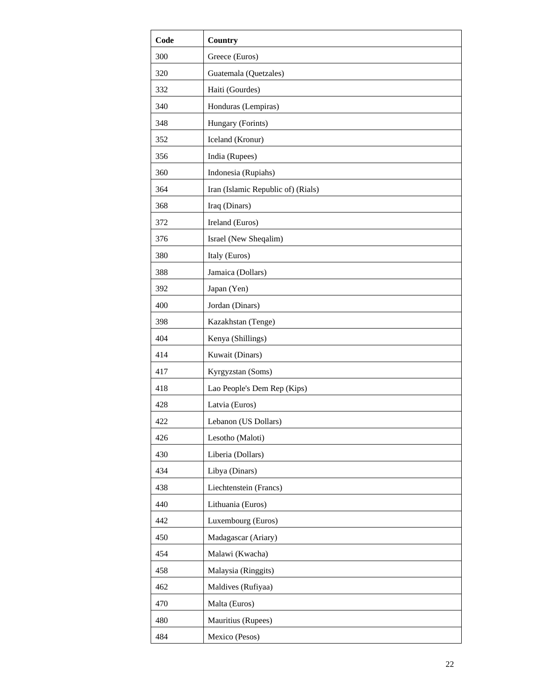| Code | Country                            |
|------|------------------------------------|
| 300  | Greece (Euros)                     |
| 320  | Guatemala (Quetzales)              |
| 332  | Haiti (Gourdes)                    |
| 340  | Honduras (Lempiras)                |
| 348  | Hungary (Forints)                  |
| 352  | Iceland (Kronur)                   |
| 356  | India (Rupees)                     |
| 360  | Indonesia (Rupiahs)                |
| 364  | Iran (Islamic Republic of) (Rials) |
| 368  | Iraq (Dinars)                      |
| 372  | Ireland (Euros)                    |
| 376  | Israel (New Sheqalim)              |
| 380  | Italy (Euros)                      |
| 388  | Jamaica (Dollars)                  |
| 392  | Japan (Yen)                        |
| 400  | Jordan (Dinars)                    |
| 398  | Kazakhstan (Tenge)                 |
| 404  | Kenya (Shillings)                  |
| 414  | Kuwait (Dinars)                    |
| 417  | Kyrgyzstan (Soms)                  |
| 418  | Lao People's Dem Rep (Kips)        |
| 428  | Latvia (Euros)                     |
| 422  | Lebanon (US Dollars)               |
| 426  | Lesotho (Maloti)                   |
| 430  | Liberia (Dollars)                  |
| 434  | Libya (Dinars)                     |
| 438  | Liechtenstein (Francs)             |
| 440  | Lithuania (Euros)                  |
| 442  | Luxembourg (Euros)                 |
| 450  | Madagascar (Ariary)                |
| 454  | Malawi (Kwacha)                    |
| 458  | Malaysia (Ringgits)                |
| 462  | Maldives (Rufiyaa)                 |
| 470  | Malta (Euros)                      |
| 480  | Mauritius (Rupees)                 |
| 484  | Mexico (Pesos)                     |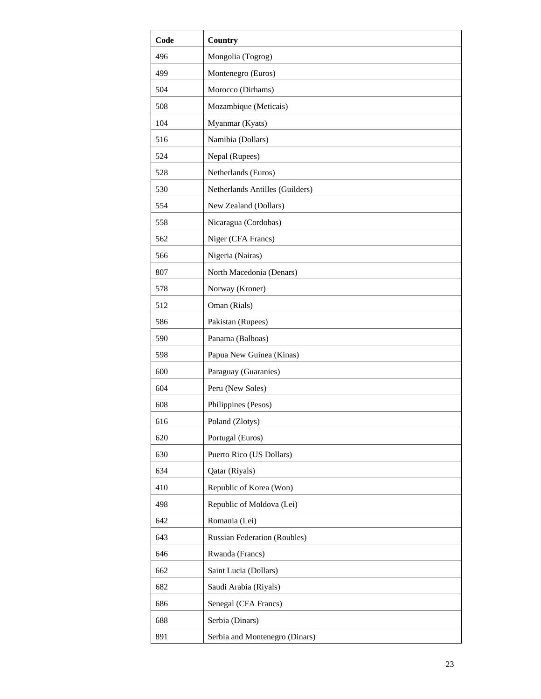| Code | Country                             |
|------|-------------------------------------|
| 496  | Mongolia (Togrog)                   |
| 499  | Montenegro (Euros)                  |
| 504  | Morocco (Dirhams)                   |
| 508  | Mozambique (Meticais)               |
| 104  | Myanmar (Kyats)                     |
| 516  | Namibia (Dollars)                   |
| 524  | Nepal (Rupees)                      |
| 528  | Netherlands (Euros)                 |
| 530  | Netherlands Antilles (Guilders)     |
| 554  | New Zealand (Dollars)               |
| 558  | Nicaragua (Cordobas)                |
| 562  | Niger (CFA Francs)                  |
| 566  | Nigeria (Nairas)                    |
| 807  | North Macedonia (Denars)            |
| 578  | Norway (Kroner)                     |
| 512  | Oman (Rials)                        |
| 586  | Pakistan (Rupees)                   |
| 590  | Panama (Balboas)                    |
| 598  | Papua New Guinea (Kinas)            |
| 600  | Paraguay (Guaranies)                |
| 604  | Peru (New Soles)                    |
| 608  | Philippines (Pesos)                 |
| 616  | Poland (Zlotys)                     |
| 620  | Portugal (Euros)                    |
| 630  | Puerto Rico (US Dollars)            |
| 634  | Qatar (Riyals)                      |
| 410  | Republic of Korea (Won)             |
| 498  | Republic of Moldova (Lei)           |
| 642  | Romania (Lei)                       |
| 643  | <b>Russian Federation (Roubles)</b> |
| 646  | Rwanda (Francs)                     |
| 662  | Saint Lucia (Dollars)               |
| 682  | Saudi Arabia (Riyals)               |
| 686  | Senegal (CFA Francs)                |
| 688  | Serbia (Dinars)                     |
| 891  | Serbia and Montenegro (Dinars)      |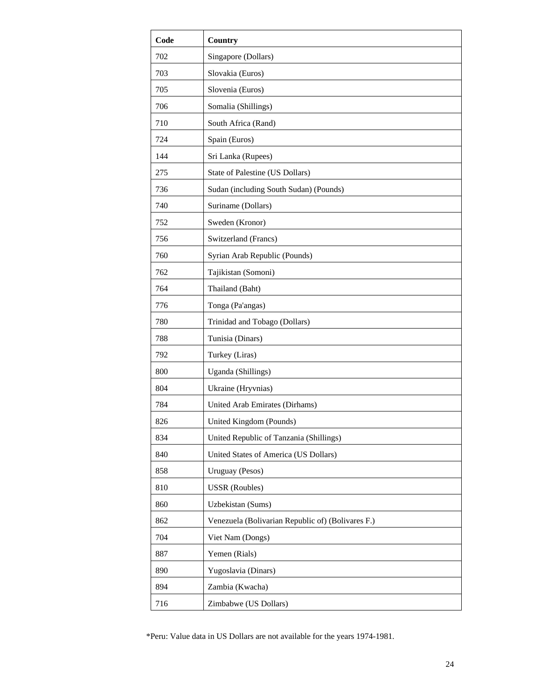| Code | <b>Country</b>                                    |
|------|---------------------------------------------------|
| 702  | Singapore (Dollars)                               |
| 703  | Slovakia (Euros)                                  |
| 705  | Slovenia (Euros)                                  |
| 706  | Somalia (Shillings)                               |
| 710  | South Africa (Rand)                               |
| 724  | Spain (Euros)                                     |
| 144  | Sri Lanka (Rupees)                                |
| 275  | State of Palestine (US Dollars)                   |
| 736  | Sudan (including South Sudan) (Pounds)            |
| 740  | Suriname (Dollars)                                |
| 752  | Sweden (Kronor)                                   |
| 756  | Switzerland (Francs)                              |
| 760  | Syrian Arab Republic (Pounds)                     |
| 762  | Tajikistan (Somoni)                               |
| 764  | Thailand (Baht)                                   |
| 776  | Tonga (Pa'angas)                                  |
| 780  | Trinidad and Tobago (Dollars)                     |
| 788  | Tunisia (Dinars)                                  |
| 792  | Turkey (Liras)                                    |
| 800  | Uganda (Shillings)                                |
| 804  | Ukraine (Hryvnias)                                |
| 784  | United Arab Emirates (Dirhams)                    |
| 826  | United Kingdom (Pounds)                           |
| 834  | United Republic of Tanzania (Shillings)           |
| 840  | United States of America (US Dollars)             |
| 858  | Uruguay (Pesos)                                   |
| 810  | <b>USSR</b> (Roubles)                             |
| 860  | Uzbekistan (Sums)                                 |
| 862  | Venezuela (Bolivarian Republic of) (Bolivares F.) |
| 704  | Viet Nam (Dongs)                                  |
| 887  | Yemen (Rials)                                     |
| 890  | Yugoslavia (Dinars)                               |
| 894  | Zambia (Kwacha)                                   |
| 716  | Zimbabwe (US Dollars)                             |

\*Peru: Value data in US Dollars are not available for the years 1974-1981.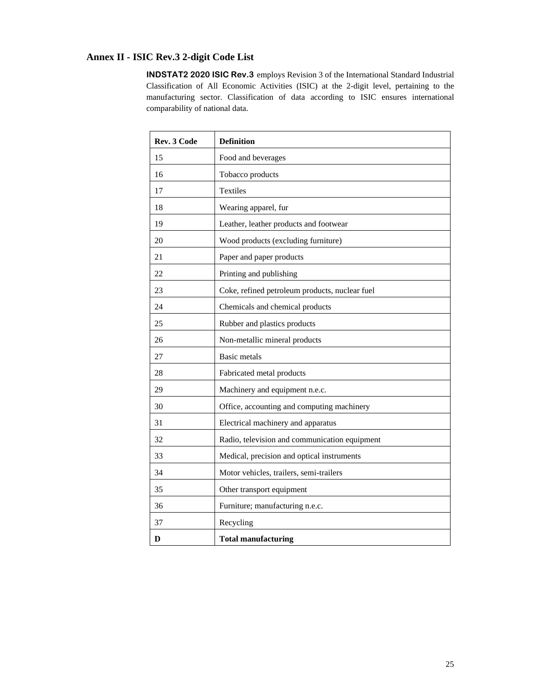#### **Annex II - ISIC Rev.3 2-digit Code List**

**INDSTAT2 2020 ISIC Rev.3** employs Revision 3 of the International Standard Industrial Classification of All Economic Activities (ISIC) at the 2-digit level, pertaining to the manufacturing sector. Classification of data according to ISIC ensures international comparability of national data.

| Rev. 3 Code | <b>Definition</b>                              |
|-------------|------------------------------------------------|
| 15          | Food and beverages                             |
| 16          | Tobacco products                               |
| 17          | <b>Textiles</b>                                |
| 18          | Wearing apparel, fur                           |
| 19          | Leather, leather products and footwear         |
| 20          | Wood products (excluding furniture)            |
| 21          | Paper and paper products                       |
| 22          | Printing and publishing                        |
| 23          | Coke, refined petroleum products, nuclear fuel |
| 24          | Chemicals and chemical products                |
| 25          | Rubber and plastics products                   |
| 26          | Non-metallic mineral products                  |
| 27          | <b>Basic metals</b>                            |
| 28          | Fabricated metal products                      |
| 29          | Machinery and equipment n.e.c.                 |
| 30          | Office, accounting and computing machinery     |
| 31          | Electrical machinery and apparatus             |
| 32          | Radio, television and communication equipment  |
| 33          | Medical, precision and optical instruments     |
| 34          | Motor vehicles, trailers, semi-trailers        |
| 35          | Other transport equipment                      |
| 36          | Furniture; manufacturing n.e.c.                |
| 37          | Recycling                                      |
| D           | <b>Total manufacturing</b>                     |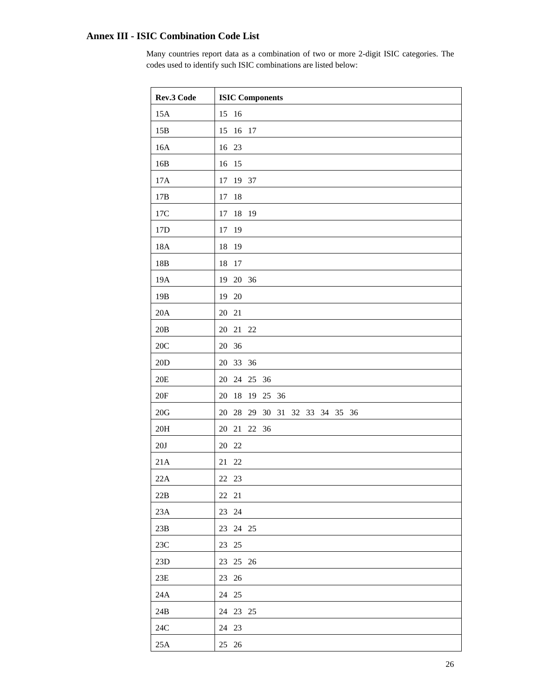#### **Annex III - ISIC Combination Code List**

Many countries report data as a combination of two or more 2-digit ISIC categories. The codes used to identify such ISIC combinations are listed below:

| Rev.3 Code      | <b>ISIC Components</b>           |
|-----------------|----------------------------------|
| 15A             | 15 16                            |
| 15B             | 15 16 17                         |
| 16A             | 16 23                            |
| 16B             | 16 15                            |
| 17A             | 17  19  37                       |
| 17B             | 17 18                            |
| 17C             | 17  18  19                       |
| 17D             | 19<br>17                         |
| 18A             | $18\,$<br>19                     |
| 18B             | 18 17                            |
| 19A             | 19 20 36                         |
| 19 <sub>B</sub> | 19 20                            |
| 20A             | 20 21                            |
| $20B$           | 20 21 22                         |
| 20C             | 20 36                            |
| 20D             | $20\,$<br>33<br>36               |
| 20E             | 20 24 25 36                      |
| 20F             | 18 19 25 36<br>20                |
| 20G             | 28 29 30 31 32 33 34 35 36<br>20 |
| 20H             | 21<br>22 36<br>20                |
| 20J             | 20 22                            |
| 21A             | 21 22                            |
| 22A             | 22 23                            |
| 22B             | 22 21                            |
| 23A             | 23 24                            |
| 23B             | 23 24 25                         |
| 23C             | 23 25                            |
| 23D             | 23 25 26                         |
| $23E$           | 23 26                            |
| 24A             | 24 25                            |
| 24B             | 24 23 25                         |
| 24C             | 24 23                            |
| 25A             | 25 26                            |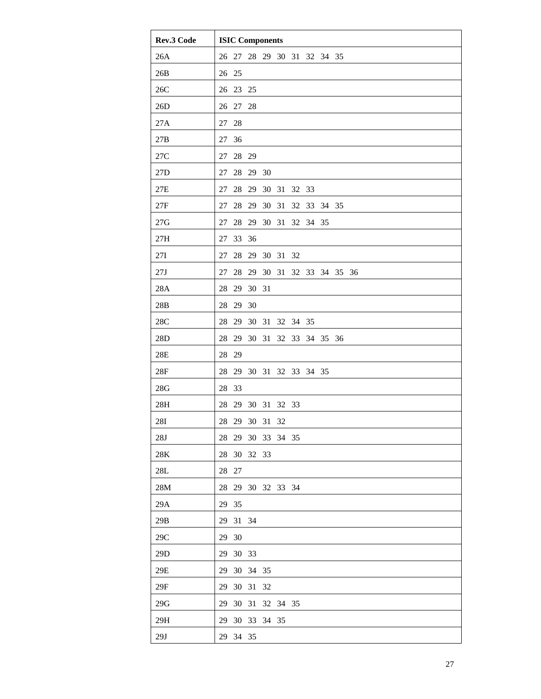| Rev.3 Code     | <b>ISIC Components</b>                            |
|----------------|---------------------------------------------------|
| 26A            | 26 27 28 29 30 31 32 34 35                        |
| 26B            | 26 25                                             |
| 26C            | 26 23 25                                          |
| 26D            | 26 27 28                                          |
| 27A            | 27 28                                             |
| 27B            | 27<br>36                                          |
| 27C            | 27<br>28 29                                       |
| 27D            | 27<br>28 29 30                                    |
| 27E            | 30 31 32 33<br>27<br>28 29                        |
| $27\mathrm{F}$ | 31<br>32 33<br>27<br>28<br>29<br>30<br>34 35      |
| 27G            | 27<br>28 29 30 31 32 34 35                        |
| 27H            | 27<br>33 36                                       |
| $27\mathrm{I}$ | 27<br>28<br>29<br>30 31<br>32                     |
| 27J            | 31<br>27<br>28<br>29<br>30<br>32 33 34 35<br>- 36 |
| 28A            | 28 29 30 31                                       |
| 28B            | 29 30<br>28                                       |
| 28C            | 29<br>30 31<br>32 34 35<br>28                     |
| 28D            | 29 30 31 32 33 34 35 36<br>28                     |
| 28E            | 28 29                                             |
| $28\mathrm{F}$ | 28 29 30 31 32 33 34 35                           |
| 28G            | 28<br>33                                          |
| 28H            | 28<br>29<br>30 31 32 33                           |
| <b>28I</b>     | 28 29 30 31<br>32                                 |
| 28J            | 28 29 30 33 34 35                                 |
| 28K            | 30 32 33<br>28                                    |
| 28L            | 28 27                                             |
| 28M            | 28 29 30 32 33 34                                 |
| 29A            | 29 35                                             |
| 29B            | 29<br>31<br>34                                    |
| 29C            | 29<br>30                                          |
| 29D            | 29<br>30 33                                       |
| 29E            | 29<br>30 34 35                                    |
| 29F            | 29<br>30<br>31<br>32                              |
| 29G            | 29<br>30 31 32 34 35                              |
| 29H            | 29<br>30 33 34 35                                 |
| 29J            | 29<br>34<br>35                                    |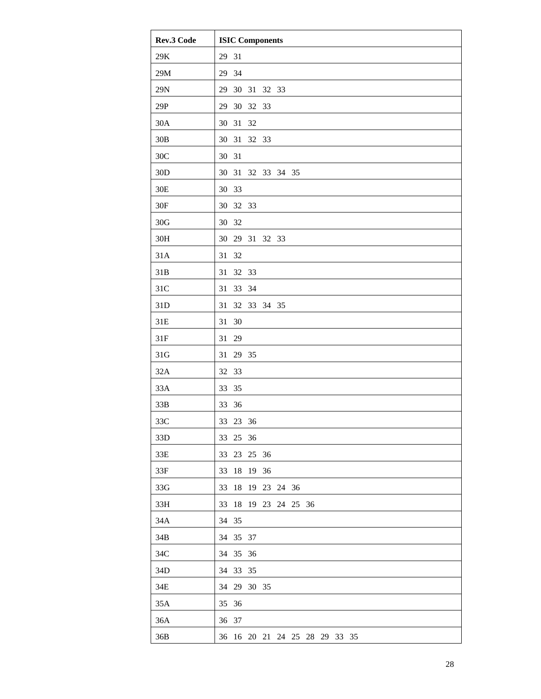| Rev.3 Code | <b>ISIC Components</b>        |
|------------|-------------------------------|
| 29K        | 29 31                         |
| 29M        | 29 34                         |
| 29N        | 30 31 32 33<br>29             |
| 29P        | 29 30 32 33                   |
| 30A        | 30 31 32                      |
| 30B        | 30 31 32 33                   |
| 30C        | 30 31                         |
| 30D        | 30 31 32 33 34 35             |
| 30E        | 30 33                         |
| $30F$      | 30 32 33                      |
| 30G        | 30 32                         |
| 30H        | 30 29 31 32 33                |
| 31A        | 31 32                         |
| 31B        | 32 33<br>31                   |
| 31C        | 31 33 34                      |
| 31D        | 31 32 33 34 35                |
| 31E        | 31 30                         |
| 31F        | 31 29                         |
| 31G        | 31 29 35                      |
| 32A        | 32 33                         |
| 33A        | 33<br>35                      |
| 33B        | 33<br>36                      |
| 33C        | 33<br>23 36                   |
| 33D        | 33 25 36                      |
| 33E        | 33 23 25 36                   |
| 33F        | 33<br>18<br>36<br>19          |
| 33G        | 33<br>18  19  23  24  36      |
| 33H        | 33<br>18 19 23 24 25 36       |
| 34A        | 34 35                         |
| 34B        | 34 35 37                      |
| 34C        | 34 35 36                      |
| 34D        | 34 33 35                      |
| 34E        | 34 29 30 35                   |
| 35A        | 35 36                         |
| 36A        | 36 37                         |
| 36B        | 36 16 20 21 24 25 28 29 33 35 |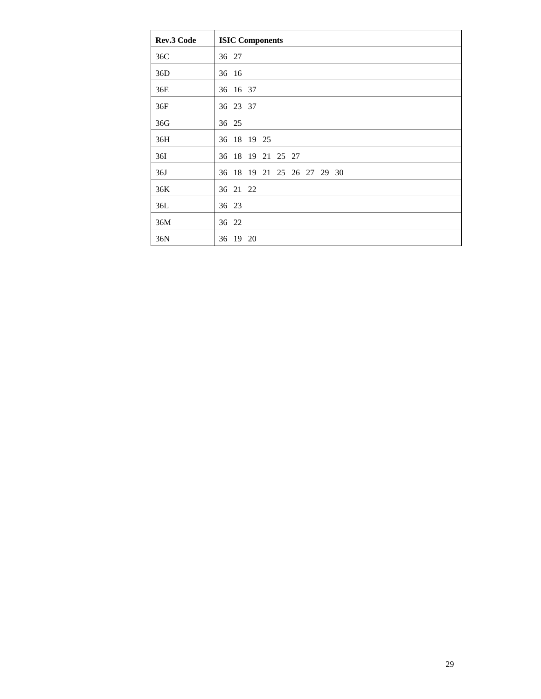| <b>Rev.3 Code</b> | <b>ISIC Components</b>     |
|-------------------|----------------------------|
| 36C               | 36 27                      |
| 36D               | 36 16                      |
| 36E               | 36 16 37                   |
| 36F               | 36 23 37                   |
| 36G               | 36 25                      |
| 36H               | 36 18 19 25                |
| 36I               | 36 18 19 21 25 27          |
| 36J               | 36 18 19 21 25 26 27 29 30 |
| 36K               | 36 21 22                   |
| 36L               | 36 23                      |
| 36M               | 36 22                      |
| 36N               | 36 19 20                   |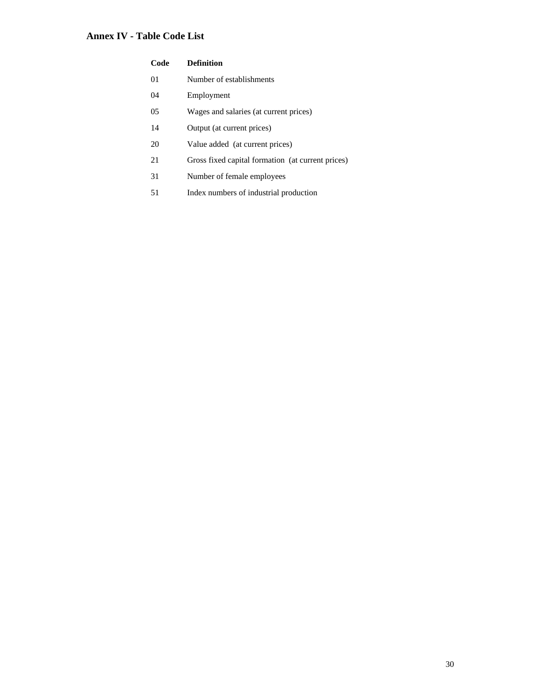#### **Annex IV - Table Code List**

| Code | <b>Definition</b>                                 |
|------|---------------------------------------------------|
| 01   | Number of establishments                          |
| 04   | Employment                                        |
| 05   | Wages and salaries (at current prices)            |
| 14   | Output (at current prices)                        |
| 20   | Value added (at current prices)                   |
| 21   | Gross fixed capital formation (at current prices) |
| 31   | Number of female employees                        |
| 51   | Index numbers of industrial production            |
|      |                                                   |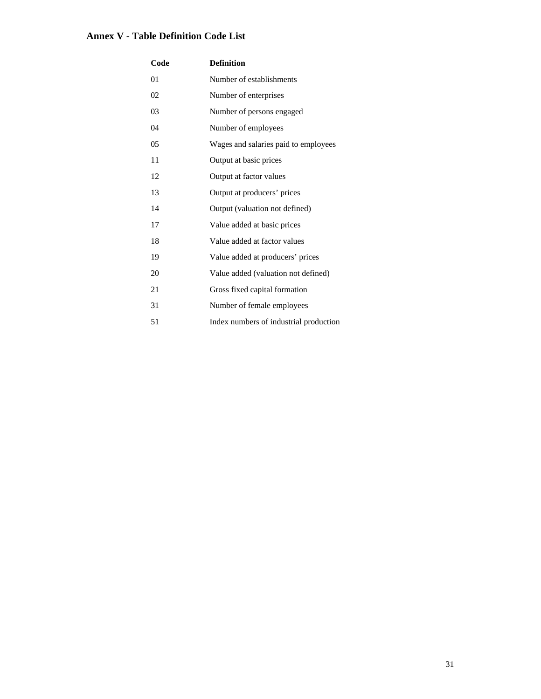#### **Annex V - Table Definition Code List**

| Code | <b>Definition</b>                      |
|------|----------------------------------------|
| 01   | Number of establishments               |
| 02   | Number of enterprises                  |
| 03   | Number of persons engaged              |
| 04   | Number of employees                    |
| 05   | Wages and salaries paid to employees   |
| 11   | Output at basic prices                 |
| 12   | Output at factor values                |
| 13   | Output at producers' prices            |
| 14   | Output (valuation not defined)         |
| 17   | Value added at basic prices            |
| 18   | Value added at factor values           |
| 19   | Value added at producers' prices       |
| 20   | Value added (valuation not defined)    |
| 21   | Gross fixed capital formation          |
| 31   | Number of female employees             |
| 51   | Index numbers of industrial production |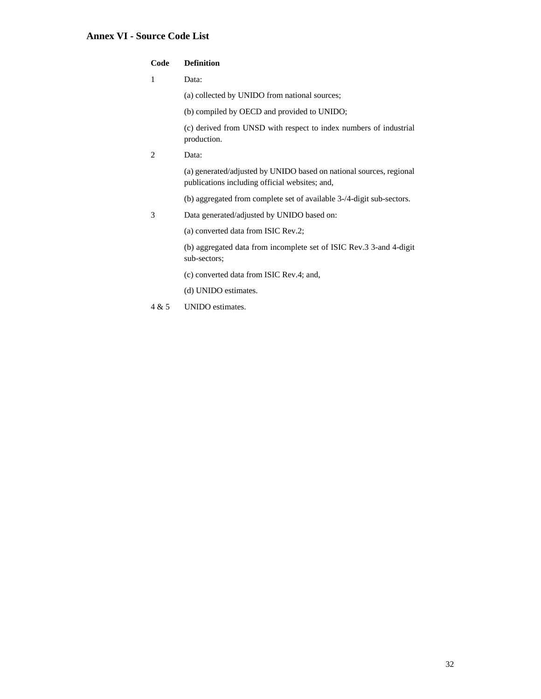#### **Annex VI - Source Code List**

|       | Code | <b>Definition</b>                                                                                                     |
|-------|------|-----------------------------------------------------------------------------------------------------------------------|
| 1     |      | Data:                                                                                                                 |
|       |      | (a) collected by UNIDO from national sources;                                                                         |
|       |      | (b) compiled by OECD and provided to UNIDO;                                                                           |
|       |      | (c) derived from UNSD with respect to index numbers of industrial<br>production.                                      |
| 2     |      | Data:                                                                                                                 |
|       |      | (a) generated/adjusted by UNIDO based on national sources, regional<br>publications including official websites; and, |
|       |      | (b) aggregated from complete set of available 3-/4-digit sub-sectors.                                                 |
| 3     |      | Data generated/adjusted by UNIDO based on:                                                                            |
|       |      | (a) converted data from ISIC Rev.2;                                                                                   |
|       |      | (b) aggregated data from incomplete set of ISIC Rev.3 3-and 4-digit<br>sub-sectors;                                   |
|       |      | (c) converted data from ISIC Rev.4; and,                                                                              |
|       |      | (d) UNIDO estimates.                                                                                                  |
| 4 & 5 |      | UNIDO estimates.                                                                                                      |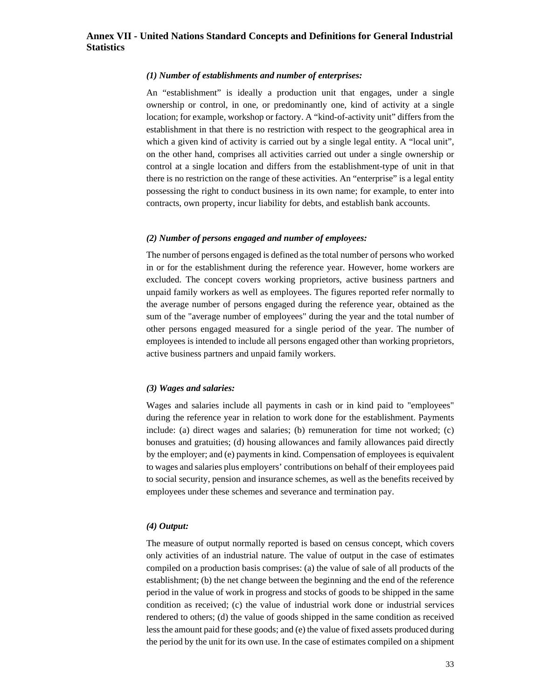#### *(1) Number of establishments and number of enterprises:*

An "establishment" is ideally a production unit that engages, under a single ownership or control, in one, or predominantly one, kind of activity at a single location; for example, workshop or factory. A "kind-of-activity unit" differs from the establishment in that there is no restriction with respect to the geographical area in which a given kind of activity is carried out by a single legal entity. A "local unit", on the other hand, comprises all activities carried out under a single ownership or control at a single location and differs from the establishment-type of unit in that there is no restriction on the range of these activities. An "enterprise" is a legal entity possessing the right to conduct business in its own name; for example, to enter into contracts, own property, incur liability for debts, and establish bank accounts.

#### *(2) Number of persons engaged and number of employees:*

The number of persons engaged is defined as the total number of persons who worked in or for the establishment during the reference year. However, home workers are excluded. The concept covers working proprietors, active business partners and unpaid family workers as well as employees. The figures reported refer normally to the average number of persons engaged during the reference year, obtained as the sum of the "average number of employees" during the year and the total number of other persons engaged measured for a single period of the year. The number of employees is intended to include all persons engaged other than working proprietors, active business partners and unpaid family workers.

#### *(3) Wages and salaries:*

Wages and salaries include all payments in cash or in kind paid to "employees" during the reference year in relation to work done for the establishment. Payments include: (a) direct wages and salaries; (b) remuneration for time not worked; (c) bonuses and gratuities; (d) housing allowances and family allowances paid directly by the employer; and (e) payments in kind. Compensation of employees is equivalent to wages and salaries plus employers' contributions on behalf of their employees paid to social security, pension and insurance schemes, as well as the benefits received by employees under these schemes and severance and termination pay.

#### *(4) Output:*

The measure of output normally reported is based on census concept, which covers only activities of an industrial nature. The value of output in the case of estimates compiled on a production basis comprises: (a) the value of sale of all products of the establishment; (b) the net change between the beginning and the end of the reference period in the value of work in progress and stocks of goods to be shipped in the same condition as received; (c) the value of industrial work done or industrial services rendered to others; (d) the value of goods shipped in the same condition as received less the amount paid for these goods; and (e) the value of fixed assets produced during the period by the unit for its own use. In the case of estimates compiled on a shipment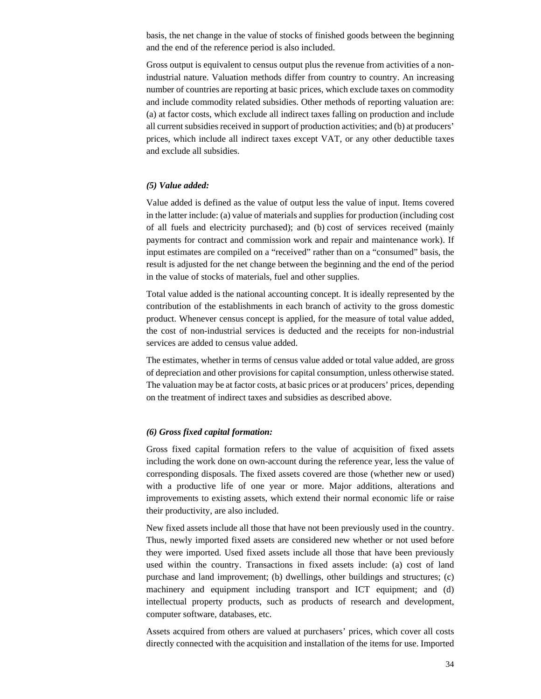basis, the net change in the value of stocks of finished goods between the beginning and the end of the reference period is also included.

Gross output is equivalent to census output plus the revenue from activities of a nonindustrial nature. Valuation methods differ from country to country. An increasing number of countries are reporting at basic prices, which exclude taxes on commodity and include commodity related subsidies. Other methods of reporting valuation are: (a) at factor costs, which exclude all indirect taxes falling on production and include all current subsidies received in support of production activities; and (b) at producers' prices, which include all indirect taxes except VAT, or any other deductible taxes and exclude all subsidies.

#### *(5) Value added:*

Value added is defined as the value of output less the value of input. Items covered in the latter include: (a) value of materials and supplies for production (including cost of all fuels and electricity purchased); and (b) cost of services received (mainly payments for contract and commission work and repair and maintenance work). If input estimates are compiled on a "received" rather than on a "consumed" basis, the result is adjusted for the net change between the beginning and the end of the period in the value of stocks of materials, fuel and other supplies.

Total value added is the national accounting concept. It is ideally represented by the contribution of the establishments in each branch of activity to the gross domestic product. Whenever census concept is applied, for the measure of total value added, the cost of non-industrial services is deducted and the receipts for non-industrial services are added to census value added.

The estimates, whether in terms of census value added or total value added, are gross of depreciation and other provisions for capital consumption, unless otherwise stated. The valuation may be at factor costs, at basic prices or at producers' prices, depending on the treatment of indirect taxes and subsidies as described above.

#### *(6) Gross fixed capital formation:*

Gross fixed capital formation refers to the value of acquisition of fixed assets including the work done on own-account during the reference year, less the value of corresponding disposals. The fixed assets covered are those (whether new or used) with a productive life of one year or more. Major additions, alterations and improvements to existing assets, which extend their normal economic life or raise their productivity, are also included.

New fixed assets include all those that have not been previously used in the country. Thus, newly imported fixed assets are considered new whether or not used before they were imported. Used fixed assets include all those that have been previously used within the country. Transactions in fixed assets include: (a) cost of land purchase and land improvement; (b) dwellings, other buildings and structures; (c) machinery and equipment including transport and ICT equipment; and (d) intellectual property products, such as products of research and development, computer software, databases, etc.

Assets acquired from others are valued at purchasers' prices, which cover all costs directly connected with the acquisition and installation of the items for use. Imported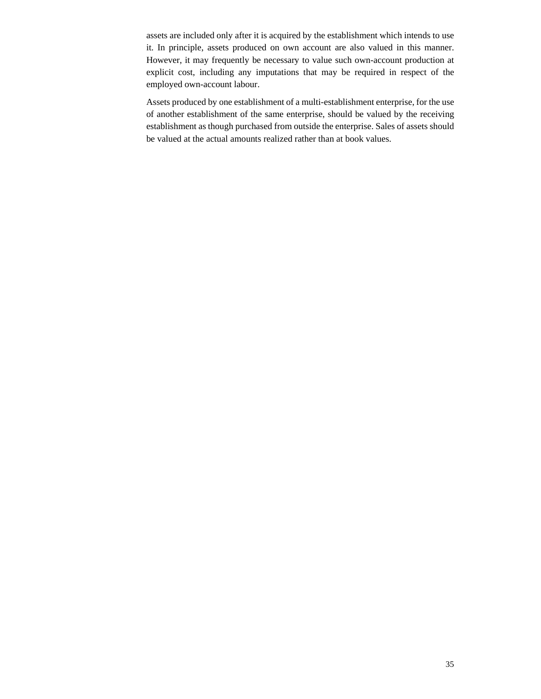assets are included only after it is acquired by the establishment which intends to use it. In principle, assets produced on own account are also valued in this manner. However, it may frequently be necessary to value such own-account production at explicit cost, including any imputations that may be required in respect of the employed own-account labour.

Assets produced by one establishment of a multi-establishment enterprise, for the use of another establishment of the same enterprise, should be valued by the receiving establishment as though purchased from outside the enterprise. Sales of assets should be valued at the actual amounts realized rather than at book values.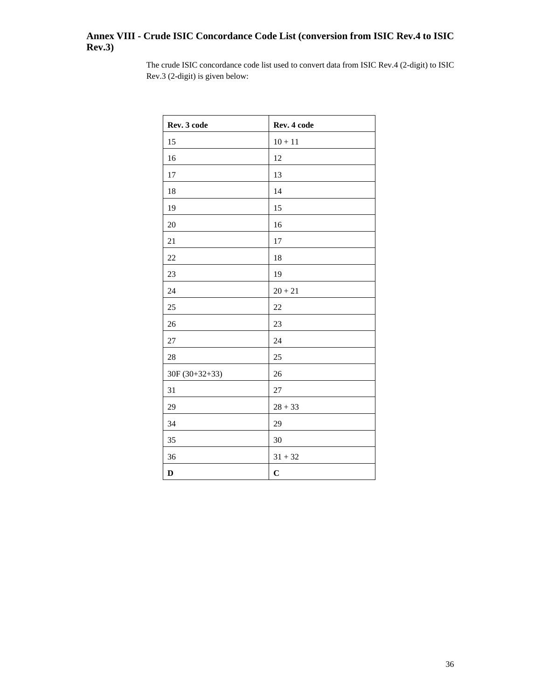#### **Annex VIII - Crude ISIC Concordance Code List (conversion from ISIC Rev.4 to ISIC Rev.3)**

The crude ISIC concordance code list used to convert data from ISIC Rev.4 (2-digit) to ISIC Rev.3 (2-digit) is given below:

| Rev. 3 code     | Rev. 4 code |
|-----------------|-------------|
| 15              | $10 + 11$   |
| 16              | 12          |
| 17              | 13          |
| 18              | 14          |
| 19              | 15          |
| 20              | 16          |
| 21              | 17          |
| 22              | 18          |
| 23              | 19          |
| 24              | $20 + 21$   |
| 25              | 22          |
| 26              | 23          |
| $27\,$          | 24          |
| 28              | 25          |
| $30F(30+32+33)$ | 26          |
| 31              | $27\,$      |
| 29              | $28 + 33$   |
| 34              | 29          |
| 35              | 30          |
| 36              | $31 + 32$   |
| $\mathbf D$     | $\mathbf C$ |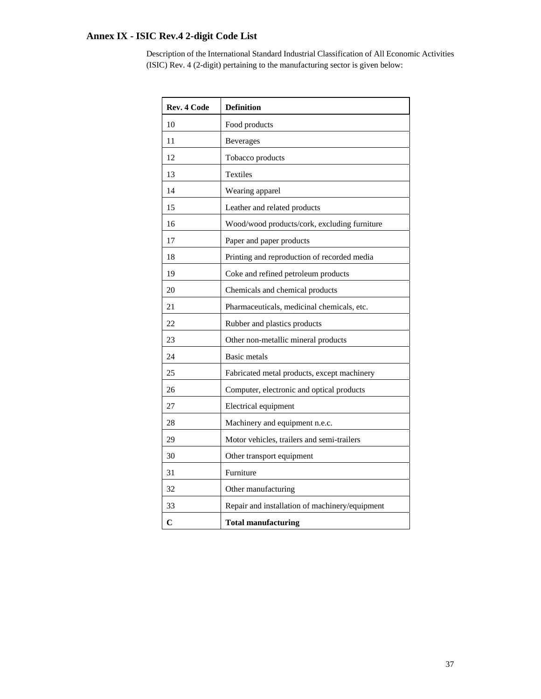#### **Annex IX - ISIC Rev.4 2-digit Code List**

Description of the International Standard Industrial Classification of All Economic Activities (ISIC) Rev. 4 (2-digit) pertaining to the manufacturing sector is given below:

| Rev. 4 Code    | <b>Definition</b>                              |
|----------------|------------------------------------------------|
| 10             | Food products                                  |
| 11             | <b>Beverages</b>                               |
| 12             | Tobacco products                               |
| 13             | <b>Textiles</b>                                |
| 14             | Wearing apparel                                |
| 15             | Leather and related products                   |
| 16             | Wood/wood products/cork, excluding furniture   |
| 17             | Paper and paper products                       |
| 18             | Printing and reproduction of recorded media    |
| 19             | Coke and refined petroleum products            |
| 20             | Chemicals and chemical products                |
| 21             | Pharmaceuticals, medicinal chemicals, etc.     |
| 22             | Rubber and plastics products                   |
| 23             | Other non-metallic mineral products            |
| 24             | <b>Basic metals</b>                            |
| 25             | Fabricated metal products, except machinery    |
| 26             | Computer, electronic and optical products      |
| 27             | Electrical equipment                           |
| 28             | Machinery and equipment n.e.c.                 |
| 29             | Motor vehicles, trailers and semi-trailers     |
| 30             | Other transport equipment                      |
| 31             | Furniture                                      |
| 32             | Other manufacturing                            |
| 33             | Repair and installation of machinery/equipment |
| $\overline{C}$ | <b>Total manufacturing</b>                     |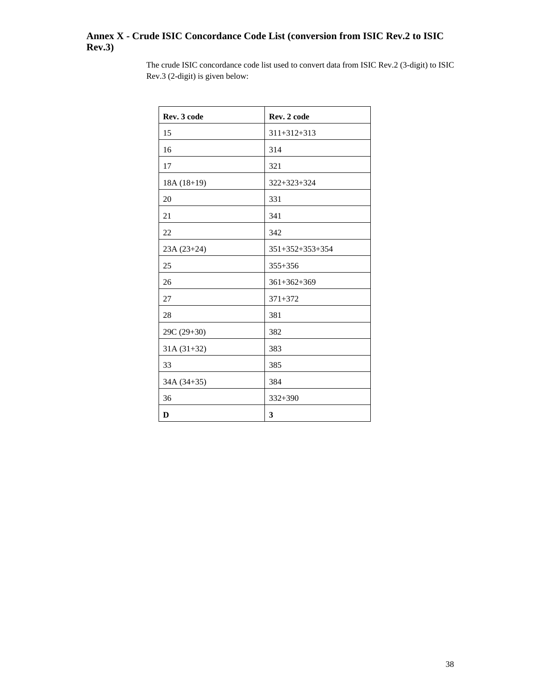#### **Annex X - Crude ISIC Concordance Code List (conversion from ISIC Rev.2 to ISIC Rev.3)**

The crude ISIC concordance code list used to convert data from ISIC Rev.2 (3-digit) to ISIC Rev.3 (2-digit) is given below:

| Rev. 3 code  | Rev. 2 code       |
|--------------|-------------------|
| 15           | $311+312+313$     |
| 16           | 314               |
| 17           | 321               |
| $18A(18+19)$ | 322+323+324       |
| 20           | 331               |
| 21           | 341               |
| 22           | 342               |
| $23A(23+24)$ | 351+352+353+354   |
| 25           | 355+356           |
| 26           | $361 + 362 + 369$ |
| 27           | $371 + 372$       |
| 28           | 381               |
| 29C (29+30)  | 382               |
| $31A(31+32)$ | 383               |
| 33           | 385               |
| 34A (34+35)  | 384               |
| 36           | $332 + 390$       |
| D            | $\mathbf{3}$      |